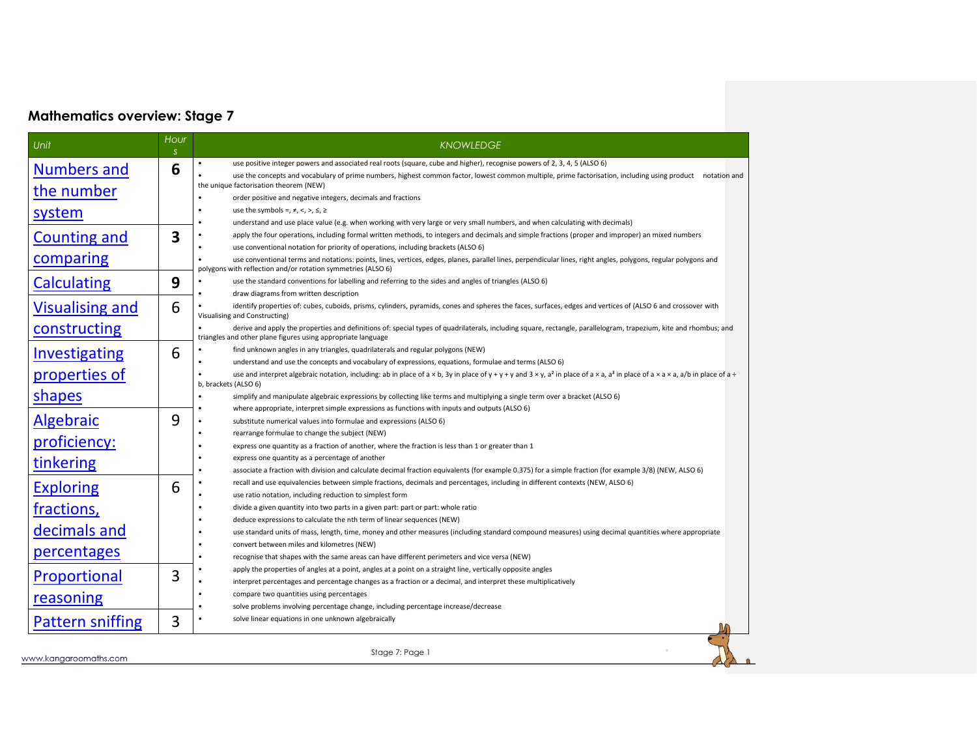# **Mathematics overview: Stage 7**

| Unit                    | Hour<br>$\mathsf{S}$ | <b>KNOWLEDGE</b>                                                                                                                                                                                                                               |
|-------------------------|----------------------|------------------------------------------------------------------------------------------------------------------------------------------------------------------------------------------------------------------------------------------------|
| <b>Numbers and</b>      | 6                    | use positive integer powers and associated real roots (square, cube and higher), recognise powers of 2, 3, 4, 5 (ALSO 6)                                                                                                                       |
|                         |                      | use the concepts and vocabulary of prime numbers, highest common factor, lowest common multiple, prime factorisation, including using product notation and<br>the unique factorisation theorem (NEW)                                           |
| the number              |                      | order positive and negative integers, decimals and fractions                                                                                                                                                                                   |
| system                  |                      | use the symbols =, $\neq$ , <, >, $\leq$ , $\geq$                                                                                                                                                                                              |
|                         |                      | understand and use place value (e.g. when working with very large or very small numbers, and when calculating with decimals)                                                                                                                   |
| <b>Counting and</b>     | 3                    | apply the four operations, including formal written methods, to integers and decimals and simple fractions (proper and improper) an mixed numbers                                                                                              |
|                         |                      | use conventional notation for priority of operations, including brackets (ALSO 6)                                                                                                                                                              |
| comparing               |                      | use conventional terms and notations: points, lines, vertices, edges, planes, parallel lines, perpendicular lines, right angles, polygons, regular polygons and<br>polygons with reflection and/or rotation symmetries (ALSO 6)                |
| <b>Calculating</b>      | 9                    | use the standard conventions for labelling and referring to the sides and angles of triangles (ALSO 6)                                                                                                                                         |
|                         |                      | draw diagrams from written description                                                                                                                                                                                                         |
| <b>Visualising and</b>  | 6                    | identify properties of: cubes, cuboids, prisms, cylinders, pyramids, cones and spheres the faces, surfaces, edges and vertices of (ALSO 6 and crossover with<br>Visualising and Constructing)                                                  |
| constructing            |                      | derive and apply the properties and definitions of: special types of quadrilaterals, including square, rectangle, parallelogram, trapezium, kite and rhombus; and<br>$\bullet$<br>triangles and other plane figures using appropriate language |
| Investigating           | 6                    | find unknown angles in any triangles, quadrilaterals and regular polygons (NEW)                                                                                                                                                                |
|                         |                      | understand and use the concepts and vocabulary of expressions, equations, formulae and terms (ALSO 6)                                                                                                                                          |
| properties of           |                      | use and interpret algebraic notation, including: ab in place of a × b, 3y in place of y + y + y and 3 × y, a <sup>2</sup> in place of a × a, a <sup>3</sup> in place of a × a × a, a/b in place of a ÷                                         |
| shapes                  |                      | b, brackets (ALSO 6)<br>simplify and manipulate algebraic expressions by collecting like terms and multiplying a single term over a bracket (ALSO 6)                                                                                           |
|                         |                      | where appropriate, interpret simple expressions as functions with inputs and outputs (ALSO 6)                                                                                                                                                  |
| <b>Algebraic</b>        | 9                    | substitute numerical values into formulae and expressions (ALSO 6)                                                                                                                                                                             |
|                         |                      | rearrange formulae to change the subject (NEW)                                                                                                                                                                                                 |
| proficiency:            |                      | express one quantity as a fraction of another, where the fraction is less than 1 or greater than 1                                                                                                                                             |
| tinkering               |                      | express one quantity as a percentage of another                                                                                                                                                                                                |
|                         |                      | associate a fraction with division and calculate decimal fraction equivalents (for example 0.375) for a simple fraction (for example 3/8) (NEW, ALSO 6)                                                                                        |
| <b>Exploring</b>        | 6                    | recall and use equivalencies between simple fractions, decimals and percentages, including in different contexts (NEW, ALSO 6)                                                                                                                 |
|                         |                      | use ratio notation, including reduction to simplest form                                                                                                                                                                                       |
| fractions,              |                      | divide a given quantity into two parts in a given part: part or part: whole ratio                                                                                                                                                              |
| decimals and            |                      | deduce expressions to calculate the nth term of linear sequences (NEW)                                                                                                                                                                         |
|                         |                      | use standard units of mass, length, time, money and other measures (including standard compound measures) using decimal quantities where appropriate<br>convert between miles and kilometres (NEW)                                             |
| percentages             |                      | recognise that shapes with the same areas can have different perimeters and vice versa (NEW)                                                                                                                                                   |
|                         |                      | apply the properties of angles at a point, angles at a point on a straight line, vertically opposite angles                                                                                                                                    |
| Proportional            | 3                    | interpret percentages and percentage changes as a fraction or a decimal, and interpret these multiplicatively                                                                                                                                  |
| reasoning               |                      | compare two quantities using percentages                                                                                                                                                                                                       |
|                         |                      | solve problems involving percentage change, including percentage increase/decrease                                                                                                                                                             |
| <b>Pattern sniffing</b> | 3                    | solve linear equations in one unknown algebraically                                                                                                                                                                                            |
|                         |                      |                                                                                                                                                                                                                                                |
| www.kangaroomaths.com   |                      | Stage 7: Page 1                                                                                                                                                                                                                                |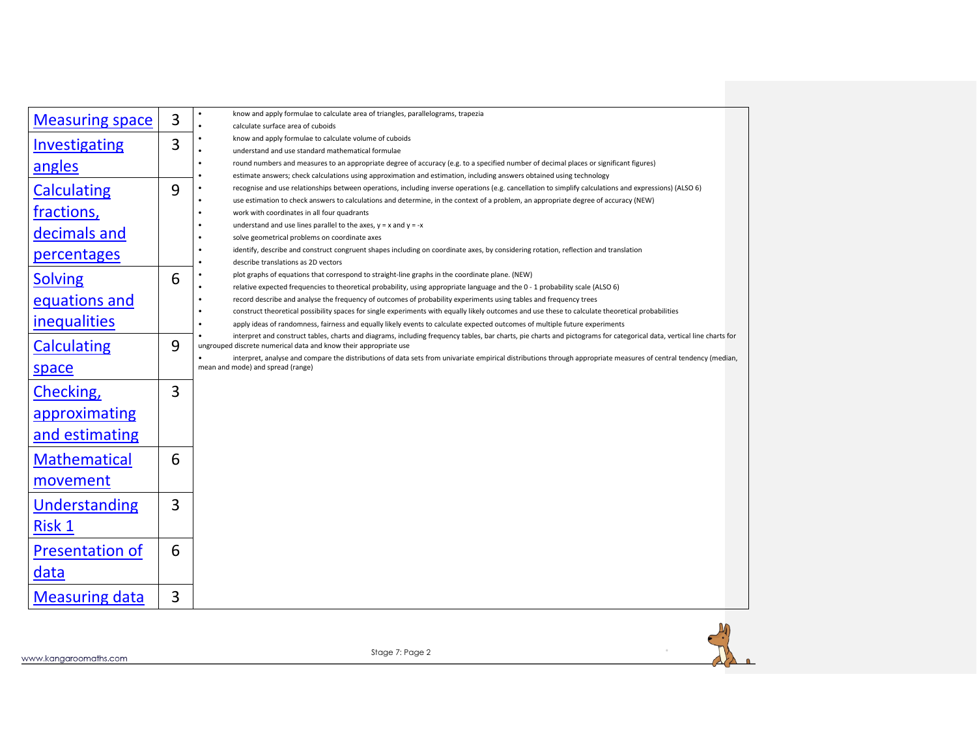| <b>Measuring space</b> | 3 | know and apply formulae to calculate area of triangles, parallelograms, trapezia                                                                                                                                                                                                              |
|------------------------|---|-----------------------------------------------------------------------------------------------------------------------------------------------------------------------------------------------------------------------------------------------------------------------------------------------|
|                        |   | calculate surface area of cuboids                                                                                                                                                                                                                                                             |
| <b>Investigating</b>   | 3 | know and apply formulae to calculate volume of cuboids                                                                                                                                                                                                                                        |
|                        |   | understand and use standard mathematical formulae                                                                                                                                                                                                                                             |
| angles                 |   | round numbers and measures to an appropriate degree of accuracy (e.g. to a specified number of decimal places or significant figures)                                                                                                                                                         |
|                        |   | estimate answers; check calculations using approximation and estimation, including answers obtained using technology                                                                                                                                                                          |
| <b>Calculating</b>     | 9 | recognise and use relationships between operations, including inverse operations (e.g. cancellation to simplify calculations and expressions) (ALSO 6)<br>use estimation to check answers to calculations and determine, in the context of a problem, an appropriate degree of accuracy (NEW) |
| fractions,             |   | work with coordinates in all four quadrants                                                                                                                                                                                                                                                   |
|                        |   | understand and use lines parallel to the axes, $y = x$ and $y = -x$                                                                                                                                                                                                                           |
| decimals and           |   | solve geometrical problems on coordinate axes                                                                                                                                                                                                                                                 |
| percentages            |   | identify, describe and construct congruent shapes including on coordinate axes, by considering rotation, reflection and translation                                                                                                                                                           |
|                        |   | describe translations as 2D vectors                                                                                                                                                                                                                                                           |
| <b>Solving</b>         | 6 | plot graphs of equations that correspond to straight-line graphs in the coordinate plane. (NEW)                                                                                                                                                                                               |
|                        |   | relative expected frequencies to theoretical probability, using appropriate language and the 0 - 1 probability scale (ALSO 6)                                                                                                                                                                 |
| equations and          |   | record describe and analyse the frequency of outcomes of probability experiments using tables and frequency trees                                                                                                                                                                             |
| <i>inequalities</i>    |   | construct theoretical possibility spaces for single experiments with equally likely outcomes and use these to calculate theoretical probabilities<br>apply ideas of randomness, fairness and equally likely events to calculate expected outcomes of multiple future experiments              |
|                        |   | interpret and construct tables, charts and diagrams, including frequency tables, bar charts, pie charts and pictograms for categorical data, vertical line charts for                                                                                                                         |
| <b>Calculating</b>     | 9 | ungrouped discrete numerical data and know their appropriate use                                                                                                                                                                                                                              |
|                        |   | interpret, analyse and compare the distributions of data sets from univariate empirical distributions through appropriate measures of central tendency (median,                                                                                                                               |
| <u>space</u>           |   | mean and mode) and spread (range)                                                                                                                                                                                                                                                             |
| Checking,              | 3 |                                                                                                                                                                                                                                                                                               |
|                        |   |                                                                                                                                                                                                                                                                                               |
| <b>approximating</b>   |   |                                                                                                                                                                                                                                                                                               |
| and estimating         |   |                                                                                                                                                                                                                                                                                               |
|                        |   |                                                                                                                                                                                                                                                                                               |
| <b>Mathematical</b>    | 6 |                                                                                                                                                                                                                                                                                               |
| movement               |   |                                                                                                                                                                                                                                                                                               |
|                        |   |                                                                                                                                                                                                                                                                                               |
|                        |   |                                                                                                                                                                                                                                                                                               |
|                        | 3 |                                                                                                                                                                                                                                                                                               |
| Understanding          |   |                                                                                                                                                                                                                                                                                               |
| Risk 1                 |   |                                                                                                                                                                                                                                                                                               |
|                        |   |                                                                                                                                                                                                                                                                                               |
| <b>Presentation of</b> | 6 |                                                                                                                                                                                                                                                                                               |
| <u>data</u>            |   |                                                                                                                                                                                                                                                                                               |
| <b>Measuring data</b>  | 3 |                                                                                                                                                                                                                                                                                               |

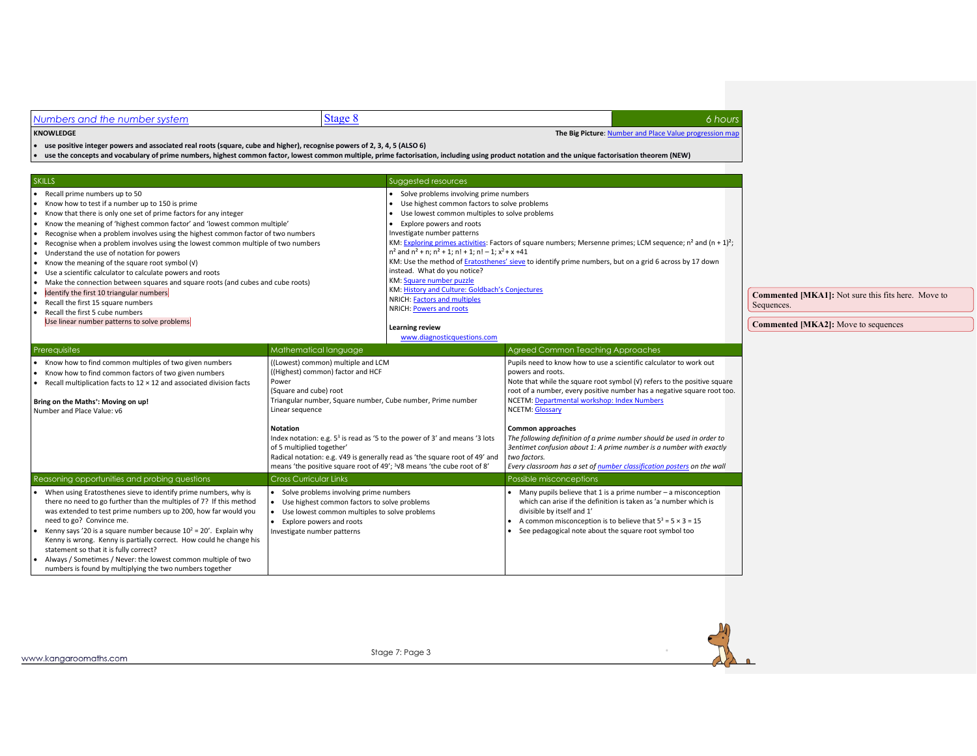<span id="page-2-0"></span>

| Numbers and the number system                                                                                                                                                                                                                                                                                                                                                                                                                                                                                                                                                                                                                                                                                                                                                                                                                                                                                                                                                                                                                                                                                                                                                     | Stage 8                                                                                                                                                                                                              |                                                                             |                                                                                                                                                           | 6 hours                                                                                                                                                                                                                |                                                                         |
|-----------------------------------------------------------------------------------------------------------------------------------------------------------------------------------------------------------------------------------------------------------------------------------------------------------------------------------------------------------------------------------------------------------------------------------------------------------------------------------------------------------------------------------------------------------------------------------------------------------------------------------------------------------------------------------------------------------------------------------------------------------------------------------------------------------------------------------------------------------------------------------------------------------------------------------------------------------------------------------------------------------------------------------------------------------------------------------------------------------------------------------------------------------------------------------|----------------------------------------------------------------------------------------------------------------------------------------------------------------------------------------------------------------------|-----------------------------------------------------------------------------|-----------------------------------------------------------------------------------------------------------------------------------------------------------|------------------------------------------------------------------------------------------------------------------------------------------------------------------------------------------------------------------------|-------------------------------------------------------------------------|
| <b>KNOWLEDGE</b>                                                                                                                                                                                                                                                                                                                                                                                                                                                                                                                                                                                                                                                                                                                                                                                                                                                                                                                                                                                                                                                                                                                                                                  |                                                                                                                                                                                                                      |                                                                             |                                                                                                                                                           | The Big Picture: Number and Place Value progression map                                                                                                                                                                |                                                                         |
| use positive integer powers and associated real roots (square, cube and higher), recognise powers of 2, 3, 4, 5 (ALSO 6)                                                                                                                                                                                                                                                                                                                                                                                                                                                                                                                                                                                                                                                                                                                                                                                                                                                                                                                                                                                                                                                          |                                                                                                                                                                                                                      |                                                                             |                                                                                                                                                           |                                                                                                                                                                                                                        |                                                                         |
| use the concepts and vocabulary of prime numbers, highest common factor, lowest common multiple, prime factorisation, including using product notation and the unique factorisation theorem (NEW)                                                                                                                                                                                                                                                                                                                                                                                                                                                                                                                                                                                                                                                                                                                                                                                                                                                                                                                                                                                 |                                                                                                                                                                                                                      |                                                                             |                                                                                                                                                           |                                                                                                                                                                                                                        |                                                                         |
|                                                                                                                                                                                                                                                                                                                                                                                                                                                                                                                                                                                                                                                                                                                                                                                                                                                                                                                                                                                                                                                                                                                                                                                   |                                                                                                                                                                                                                      |                                                                             |                                                                                                                                                           |                                                                                                                                                                                                                        |                                                                         |
| <b>SKILLS</b>                                                                                                                                                                                                                                                                                                                                                                                                                                                                                                                                                                                                                                                                                                                                                                                                                                                                                                                                                                                                                                                                                                                                                                     |                                                                                                                                                                                                                      | Suggested resources                                                         |                                                                                                                                                           |                                                                                                                                                                                                                        |                                                                         |
| • Recall prime numbers up to 50<br>• Solve problems involving prime numbers<br>• Know how to test if a number up to 150 is prime<br>• Use highest common factors to solve problems<br>• Know that there is only one set of prime factors for any integer<br>• Use lowest common multiples to solve problems<br>Know the meaning of 'highest common factor' and 'lowest common multiple'<br>• Explore powers and roots<br>Investigate number patterns<br>Recognise when a problem involves using the highest common factor of two numbers<br>Recognise when a problem involves using the lowest common multiple of two numbers<br>$n^2$ and $n^2$ + n; $n^2$ + 1; n! + 1; n! - 1; x <sup>2</sup> + x +41<br>Understand the use of notation for powers<br>KM: Use the method of Eratosthenes' sieve to identify prime numbers, but on a grid 6 across by 17 down<br>Know the meaning of the square root symbol $(V)$<br>instead. What do you notice?<br>Use a scientific calculator to calculate powers and roots<br>KM: Square number puzzle<br>Make the connection between squares and square roots (and cubes and cube roots)<br>KM: History and Culture: Goldbach's Conjectures |                                                                                                                                                                                                                      |                                                                             | KM: Exploring primes activities: Factors of square numbers; Mersenne primes; LCM sequence; $n^2$ and $(n + 1)^2$ ;                                        |                                                                                                                                                                                                                        |                                                                         |
| Identify the first 10 triangular numbers<br>Recall the first 15 square numbers                                                                                                                                                                                                                                                                                                                                                                                                                                                                                                                                                                                                                                                                                                                                                                                                                                                                                                                                                                                                                                                                                                    |                                                                                                                                                                                                                      | <b>NRICH: Factors and multiples</b>                                         |                                                                                                                                                           |                                                                                                                                                                                                                        | <b>Commented [MKA1]:</b> Not sure this fits here. Move to<br>Sequences. |
| Recall the first 5 cube numbers<br>Use linear number patterns to solve problems                                                                                                                                                                                                                                                                                                                                                                                                                                                                                                                                                                                                                                                                                                                                                                                                                                                                                                                                                                                                                                                                                                   | NRICH: Powers and roots                                                                                                                                                                                              |                                                                             |                                                                                                                                                           | <b>Commented [MKA2]:</b> Move to sequences                                                                                                                                                                             |                                                                         |
|                                                                                                                                                                                                                                                                                                                                                                                                                                                                                                                                                                                                                                                                                                                                                                                                                                                                                                                                                                                                                                                                                                                                                                                   |                                                                                                                                                                                                                      | Learning review<br>www.diagnosticquestions.com                              |                                                                                                                                                           |                                                                                                                                                                                                                        |                                                                         |
|                                                                                                                                                                                                                                                                                                                                                                                                                                                                                                                                                                                                                                                                                                                                                                                                                                                                                                                                                                                                                                                                                                                                                                                   |                                                                                                                                                                                                                      |                                                                             |                                                                                                                                                           |                                                                                                                                                                                                                        |                                                                         |
| Prerequisites                                                                                                                                                                                                                                                                                                                                                                                                                                                                                                                                                                                                                                                                                                                                                                                                                                                                                                                                                                                                                                                                                                                                                                     | Mathematical language                                                                                                                                                                                                |                                                                             | <b>Agreed Common Teaching Approaches</b>                                                                                                                  |                                                                                                                                                                                                                        |                                                                         |
| Know how to find common multiples of two given numbers<br>• Know how to find common factors of two given numbers<br>• Recall multiplication facts to $12 \times 12$ and associated division facts<br>Bring on the Maths <sup>+</sup> : Moving on up!<br>Number and Place Value: v6                                                                                                                                                                                                                                                                                                                                                                                                                                                                                                                                                                                                                                                                                                                                                                                                                                                                                                | ((Lowest) common) multiple and LCM<br>((Highest) common) factor and HCF<br>Power<br>(Square and cube) root<br>Triangular number, Square number, Cube number, Prime number<br>Linear sequence                         |                                                                             | Pupils need to know how to use a scientific calculator to work out<br>powers and roots.<br>NCETM: Departmental workshop: Index Numbers<br>NCETM: Glossary | Note that while the square root symbol (v) refers to the positive square<br>root of a number, every positive number has a negative square root too.                                                                    |                                                                         |
|                                                                                                                                                                                                                                                                                                                                                                                                                                                                                                                                                                                                                                                                                                                                                                                                                                                                                                                                                                                                                                                                                                                                                                                   | Notation<br>Index notation: e.g. 5 <sup>3</sup> is read as '5 to the power of 3' and means '3 lots<br>of 5 multiplied together<br>means 'the positive square root of 49'; <sup>3</sup> V8 means 'the cube root of 8' | Radical notation: e.g. V49 is generally read as 'the square root of 49' and | Common approaches<br>two factors.                                                                                                                         | The following definition of a prime number should be used in order to<br>3entimet confusion about 1: A prime number is a number with exactly<br>Every classroom has a set of number classification posters on the wall |                                                                         |
| Reasoning opportunities and probing questions                                                                                                                                                                                                                                                                                                                                                                                                                                                                                                                                                                                                                                                                                                                                                                                                                                                                                                                                                                                                                                                                                                                                     | <b>Cross Curricular Links</b>                                                                                                                                                                                        |                                                                             | Possible misconceptions                                                                                                                                   |                                                                                                                                                                                                                        |                                                                         |
| • When using Eratosthenes sieve to identify prime numbers, why is<br>there no need to go further than the multiples of 7? If this method<br>was extended to test prime numbers up to 200, how far would you<br>need to go? Convince me.<br>Kenny says '20 is a square number because $10^2$ = 20'. Explain why<br>Kenny is wrong. Kenny is partially correct. How could he change his<br>statement so that it is fully correct?<br>Always / Sometimes / Never: the lowest common multiple of two<br>numbers is found by multiplying the two numbers together                                                                                                                                                                                                                                                                                                                                                                                                                                                                                                                                                                                                                      | • Solve problems involving prime numbers<br>Use highest common factors to solve problems<br>• Use lowest common multiples to solve problems<br>• Explore powers and roots<br>Investigate number patterns             |                                                                             | divisible by itself and 1'<br>A common misconception is to believe that $5^3 = 5 \times 3 = 15$<br>See pedagogical note about the square root symbol too  | Many pupils believe that 1 is a prime number $-$ a misconception<br>which can arise if the definition is taken as 'a number which is                                                                                   |                                                                         |



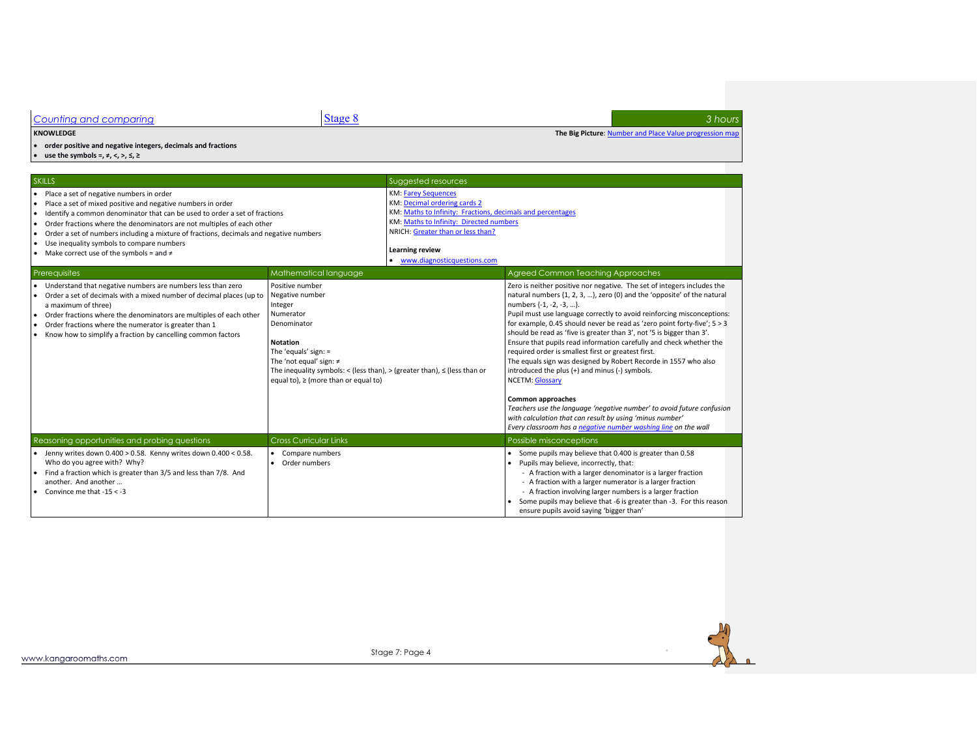## <span id="page-3-0"></span>**Counting and comparing [Stage 8](file://sweep/teacher$/maths/Teaching%20Plans%20(Linked)/2017%2018%20Teaching%20Plans%20and%20SOW/Schemes%20Of%20Work/KS3%20Stages/St8_sow.docx)** 3 *hours* 3 *hours* 3 *<i>hours* 3 *hours* 3 *hours* 3 *hours*

### **KNOWLEDGE The Big Picture**: Number and Place Value progression ma

• **order positive and negative integers, decimals and fractions**

• **use the symbols =,**  $\neq$ **,**  $\lt$ **,**  $>$ **,**  $\leq$ **,**  $\geq$ 

| <b>SKILLS</b>                                                                                                                                                                                                                                                                                                                                                                                                                                                                                 |                                                                                                                                                                                                                                                                                     | Suggested resources                                                                                                                                                                                                                                                        |                                                                                                                                                                                                                                                                                                                                                                                                                                                                                                                                                                                                                                                                                                                                                                                                                                                                                                                       |
|-----------------------------------------------------------------------------------------------------------------------------------------------------------------------------------------------------------------------------------------------------------------------------------------------------------------------------------------------------------------------------------------------------------------------------------------------------------------------------------------------|-------------------------------------------------------------------------------------------------------------------------------------------------------------------------------------------------------------------------------------------------------------------------------------|----------------------------------------------------------------------------------------------------------------------------------------------------------------------------------------------------------------------------------------------------------------------------|-----------------------------------------------------------------------------------------------------------------------------------------------------------------------------------------------------------------------------------------------------------------------------------------------------------------------------------------------------------------------------------------------------------------------------------------------------------------------------------------------------------------------------------------------------------------------------------------------------------------------------------------------------------------------------------------------------------------------------------------------------------------------------------------------------------------------------------------------------------------------------------------------------------------------|
| Place a set of negative numbers in order<br>Place a set of mixed positive and negative numbers in order<br>Identify a common denominator that can be used to order a set of fractions<br>$\bullet$<br>Order fractions where the denominators are not multiples of each other<br>Order a set of numbers including a mixture of fractions, decimals and negative numbers<br>$\bullet$<br>Use inequality symbols to compare numbers<br>$\bullet$<br>Make correct use of the symbols = and $\neq$ |                                                                                                                                                                                                                                                                                     | <b>KM: Farey Sequences</b><br><b>KM: Decimal ordering cards 2</b><br>KM: Maths to Infinity: Fractions, decimals and percentages<br>KM: Maths to Infinity: Directed numbers<br>NRICH: Greater than or less than?<br><b>Learning review</b><br>• www.diagnosticquestions.com |                                                                                                                                                                                                                                                                                                                                                                                                                                                                                                                                                                                                                                                                                                                                                                                                                                                                                                                       |
| <b>Prerequisites</b>                                                                                                                                                                                                                                                                                                                                                                                                                                                                          | Mathematical language                                                                                                                                                                                                                                                               |                                                                                                                                                                                                                                                                            | <b>Agreed Common Teaching Approaches</b>                                                                                                                                                                                                                                                                                                                                                                                                                                                                                                                                                                                                                                                                                                                                                                                                                                                                              |
| Understand that negative numbers are numbers less than zero<br>Order a set of decimals with a mixed number of decimal places (up to<br>a maximum of three)<br>Order fractions where the denominators are multiples of each other<br>Order fractions where the numerator is greater than 1<br>Know how to simplify a fraction by cancelling common factors                                                                                                                                     | Positive number<br>Negative number<br>Integer<br>Numerator<br>Denominator<br><b>Notation</b><br>The 'equals' sign: $=$<br>The 'not equal' sign: $\neq$<br>The inequality symbols: < (less than), > (greater than), $\le$ (less than or<br>equal to), $\geq$ (more than or equal to) |                                                                                                                                                                                                                                                                            | Zero is neither positive nor negative. The set of integers includes the<br>natural numbers {1, 2, 3, }, zero (0) and the 'opposite' of the natural<br>numbers {-1, -2, -3, }.<br>Pupil must use language correctly to avoid reinforcing misconceptions:<br>for example, 0.45 should never be read as 'zero point forty-five'; 5 > 3<br>should be read as 'five is greater than 3', not '5 is bigger than 3'.<br>Ensure that pupils read information carefully and check whether the<br>required order is smallest first or greatest first.<br>The equals sign was designed by Robert Recorde in 1557 who also<br>introduced the plus (+) and minus (-) symbols.<br><b>NCETM: Glossary</b><br>Common approaches<br>Teachers use the language 'negative number' to avoid future confusion<br>with calculation that can result by using 'minus number'<br>Every classroom has a negative number washing line on the wall |
| Reasoning opportunities and probing questions                                                                                                                                                                                                                                                                                                                                                                                                                                                 | <b>Cross Curricular Links</b>                                                                                                                                                                                                                                                       |                                                                                                                                                                                                                                                                            | Possible misconceptions                                                                                                                                                                                                                                                                                                                                                                                                                                                                                                                                                                                                                                                                                                                                                                                                                                                                                               |
| Jenny writes down 0.400 > 0.58. Kenny writes down 0.400 < 0.58.<br>Who do you agree with? Why?<br>Find a fraction which is greater than 3/5 and less than 7/8. And<br>another. And another<br>Convince me that $-15 < -3$                                                                                                                                                                                                                                                                     | Compare numbers<br>Order numbers<br>$\bullet$                                                                                                                                                                                                                                       |                                                                                                                                                                                                                                                                            | Some pupils may believe that 0.400 is greater than 0.58<br>Pupils may believe, incorrectly, that:<br>- A fraction with a larger denominator is a larger fraction<br>- A fraction with a larger numerator is a larger fraction<br>- A fraction involving larger numbers is a larger fraction<br>Some pupils may believe that -6 is greater than -3. For this reason<br>ensure pupils avoid saying 'bigger than'                                                                                                                                                                                                                                                                                                                                                                                                                                                                                                        |

www.kangaroomaths.com

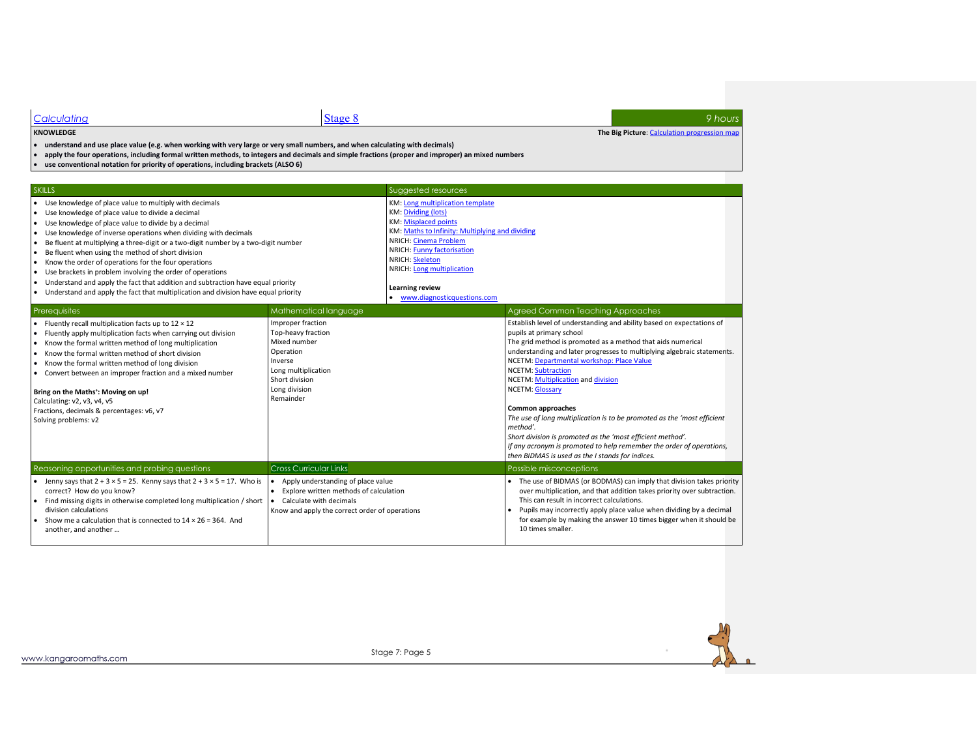### <span id="page-4-0"></span>**Calculating** [Stage 8](file://sweep/teacher$/maths/Teaching%20Plans%20(Linked)/2017%2018%20Teaching%20Plans%20and%20SOW/Schemes%20Of%20Work/KS3%20Stages/St8_sow.docx) 9 *hours* 8 9 *hours* 8 *Stage 8* **12** *Algeria 8 <b>Stage 8 12 <i>Stage 8* **12** *n n n n n n n n n n n n n n n n n n n n*

## **KNOWLEDGE The Big Picture:** Calculation progression ma

• **understand and use place value (e.g. when working with very large or very small numbers, and when calculating with decimals)**

• **apply the four operations, including formal written methods, to integers and decimals and simple fractions (proper and improper) an mixed numbers**

• **use conventional notation for priority of operations, including brackets (ALSO 6)**

| <b>SKILLS</b>                                                                                                                                                                                                                                                                                                                                                                                                                                                                                                                                                                                                                                                                                                            |                                                                                                                                                           | Suggested resources                                                                                                                                                                                                                                                                                                        |                                                                                                                                                                                                                                                                                                                                                                                                                                                                                                                                                                                                                                                                                             |
|--------------------------------------------------------------------------------------------------------------------------------------------------------------------------------------------------------------------------------------------------------------------------------------------------------------------------------------------------------------------------------------------------------------------------------------------------------------------------------------------------------------------------------------------------------------------------------------------------------------------------------------------------------------------------------------------------------------------------|-----------------------------------------------------------------------------------------------------------------------------------------------------------|----------------------------------------------------------------------------------------------------------------------------------------------------------------------------------------------------------------------------------------------------------------------------------------------------------------------------|---------------------------------------------------------------------------------------------------------------------------------------------------------------------------------------------------------------------------------------------------------------------------------------------------------------------------------------------------------------------------------------------------------------------------------------------------------------------------------------------------------------------------------------------------------------------------------------------------------------------------------------------------------------------------------------------|
| • Use knowledge of place value to multiply with decimals<br>Use knowledge of place value to divide a decimal<br>Use knowledge of place value to divide by a decimal<br>Use knowledge of inverse operations when dividing with decimals<br>Be fluent at multiplying a three-digit or a two-digit number by a two-digit number<br>Be fluent when using the method of short division<br>Know the order of operations for the four operations<br>$\bullet$<br>Use brackets in problem involving the order of operations<br>$\bullet$<br>Understand and apply the fact that addition and subtraction have equal priority<br>$\bullet$<br>• Understand and apply the fact that multiplication and division have equal priority |                                                                                                                                                           | KM: Long multiplication template<br><b>KM: Dividing (lots)</b><br><b>KM: Misplaced points</b><br>KM: Maths to Infinity: Multiplying and dividing<br><b>NRICH: Cinema Problem</b><br>NRICH: Funny factorisation<br>NRICH: Skeleton<br>NRICH: Long multiplication<br><b>Learning review</b><br>• www.diagnosticquestions.com |                                                                                                                                                                                                                                                                                                                                                                                                                                                                                                                                                                                                                                                                                             |
| Prerequisites                                                                                                                                                                                                                                                                                                                                                                                                                                                                                                                                                                                                                                                                                                            | Mathematical language                                                                                                                                     |                                                                                                                                                                                                                                                                                                                            | <b>Agreed Common Teaching Approaches</b>                                                                                                                                                                                                                                                                                                                                                                                                                                                                                                                                                                                                                                                    |
| • Fluently recall multiplication facts up to $12 \times 12$<br>Fluently apply multiplication facts when carrying out division<br>Know the formal written method of long multiplication<br>Know the formal written method of short division<br>Know the formal written method of long division<br>Convert between an improper fraction and a mixed number<br>Bring on the Maths <sup>+</sup> : Moving on up!<br>Calculating: v2, v3, v4, v5<br>Fractions, decimals & percentages: v6, v7<br>Solving problems: v2                                                                                                                                                                                                          | Improper fraction<br>Top-heavy fraction<br>Mixed number<br>Operation<br>Inverse<br>Long multiplication<br>Short division<br>Long division<br>Remainder    |                                                                                                                                                                                                                                                                                                                            | Establish level of understanding and ability based on expectations of<br>pupils at primary school<br>The grid method is promoted as a method that aids numerical<br>understanding and later progresses to multiplying algebraic statements.<br>NCETM: Departmental workshop: Place Value<br><b>NCETM: Subtraction</b><br>NCETM: Multiplication and division<br><b>NCETM: Glossary</b><br>Common approaches<br>The use of long multiplication is to be promoted as the 'most efficient<br>method'.<br>Short division is promoted as the 'most efficient method'.<br>If any acronym is promoted to help remember the order of operations,<br>then BIDMAS is used as the I stands for indices. |
| Reasoning opportunities and probing questions                                                                                                                                                                                                                                                                                                                                                                                                                                                                                                                                                                                                                                                                            | <b>Cross Curricular Links</b>                                                                                                                             |                                                                                                                                                                                                                                                                                                                            | Possible misconceptions                                                                                                                                                                                                                                                                                                                                                                                                                                                                                                                                                                                                                                                                     |
| • Jenny says that $2 + 3 \times 5 = 25$ . Kenny says that $2 + 3 \times 5 = 17$ . Who is<br>correct? How do you know?<br>Find missing digits in otherwise completed long multiplication / short<br>division calculations<br>Show me a calculation that is connected to $14 \times 26 = 364$ . And<br>another, and another                                                                                                                                                                                                                                                                                                                                                                                                | Apply understanding of place value<br>Explore written methods of calculation<br>Calculate with decimals<br>Know and apply the correct order of operations |                                                                                                                                                                                                                                                                                                                            | • The use of BIDMAS (or BODMAS) can imply that division takes priority<br>over multiplication, and that addition takes priority over subtraction.<br>This can result in incorrect calculations.<br>Pupils may incorrectly apply place value when dividing by a decimal<br>for example by making the answer 10 times bigger when it should be<br>10 times smaller.                                                                                                                                                                                                                                                                                                                           |

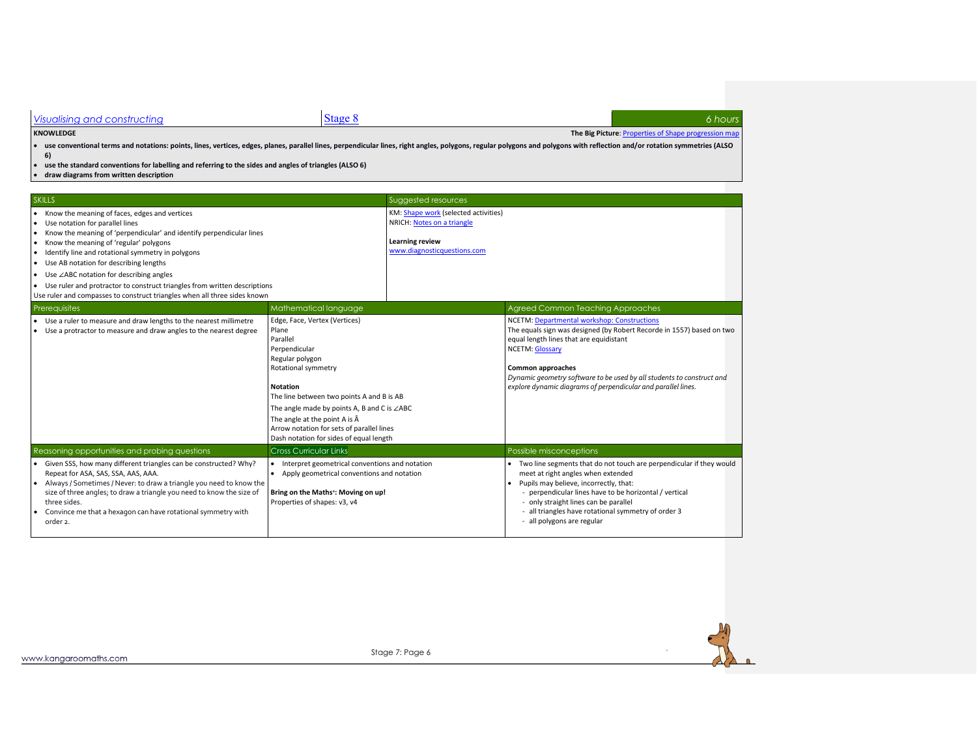<span id="page-5-0"></span>

| <b>Visualising and constructing</b><br>Stage 8<br>6 hours |
|-----------------------------------------------------------|
|-----------------------------------------------------------|

**KNOWLEDGE The Big Picture:** Properties of Shape progression ma

• use conventional terms and notations: points, lines, vertices, edges, planes, parallel lines, perpendicular lines, right angles, polygons, regular polygons and polygons with reflection and/or rotation symmetries (ALSO **6)**

• **use the standard conventions for labelling and referring to the sides and angles of triangles (ALSO 6)**

• **draw diagrams from written description**

| <b>SKILLS</b><br>• Know the meaning of faces, edges and vertices<br>Use notation for parallel lines<br>Know the meaning of 'perpendicular' and identify perpendicular lines<br>Know the meaning of 'regular' polygons<br>Identify line and rotational symmetry in polygons<br>Use AB notation for describing lengths<br>• Use ∠ABC notation for describing angles<br>• Use ruler and protractor to construct triangles from written descriptions<br>Use ruler and compasses to construct triangles when all three sides known |                                                                                                                                                                                                                                                                                                                                                                                        | Suggested resources<br>KM: Shape work (selected activities)<br>NRICH: Notes on a triangle<br><b>Learning review</b><br>www.diagnosticquestions.com |                                                                                                                                                                                                                                                                                                                                                                                               |
|-------------------------------------------------------------------------------------------------------------------------------------------------------------------------------------------------------------------------------------------------------------------------------------------------------------------------------------------------------------------------------------------------------------------------------------------------------------------------------------------------------------------------------|----------------------------------------------------------------------------------------------------------------------------------------------------------------------------------------------------------------------------------------------------------------------------------------------------------------------------------------------------------------------------------------|----------------------------------------------------------------------------------------------------------------------------------------------------|-----------------------------------------------------------------------------------------------------------------------------------------------------------------------------------------------------------------------------------------------------------------------------------------------------------------------------------------------------------------------------------------------|
| Prerequisites<br>• Use a ruler to measure and draw lengths to the nearest millimetre<br>• Use a protractor to measure and draw angles to the nearest degree                                                                                                                                                                                                                                                                                                                                                                   | Mathematical language<br>Edge, Face, Vertex (Vertices)<br>Plane<br>Parallel<br>Perpendicular<br>Regular polygon<br>Rotational symmetry<br><b>Notation</b><br>The line between two points A and B is AB<br>The angle made by points A, B and C is $\angle$ ABC<br>The angle at the point A is Â<br>Arrow notation for sets of parallel lines<br>Dash notation for sides of equal length |                                                                                                                                                    | Agreed Common Teaching Approaches<br>NCETM: Departmental workshop: Constructions<br>The equals sign was designed (by Robert Recorde in 1557) based on two<br>equal length lines that are equidistant<br><b>NCETM: Glossary</b><br>Common approaches<br>Dynamic geometry software to be used by all students to construct and<br>explore dynamic diagrams of perpendicular and parallel lines. |
| Reasoning opportunities and probing questions<br>• Given SSS, how many different triangles can be constructed? Why?<br>Repeat for ASA, SAS, SSA, AAS, AAA.<br>• Always / Sometimes / Never: to draw a triangle you need to know the<br>size of three angles; to draw a triangle you need to know the size of<br>three sides.<br>• Convince me that a hexagon can have rotational symmetry with<br>order 2.                                                                                                                    | <b>Cross Curricular Links</b><br>Interpret geometrical conventions and notation<br>Apply geometrical conventions and notation<br>Bring on the Maths <sup>+</sup> : Moving on up!<br>Properties of shapes: v3, v4                                                                                                                                                                       |                                                                                                                                                    | Possible misconceptions<br>• Two line segments that do not touch are perpendicular if they would<br>meet at right angles when extended<br>Pupils may believe, incorrectly, that:<br>- perpendicular lines have to be horizontal / vertical<br>- only straight lines can be parallel<br>- all triangles have rotational symmetry of order 3<br>- all polygons are regular                      |

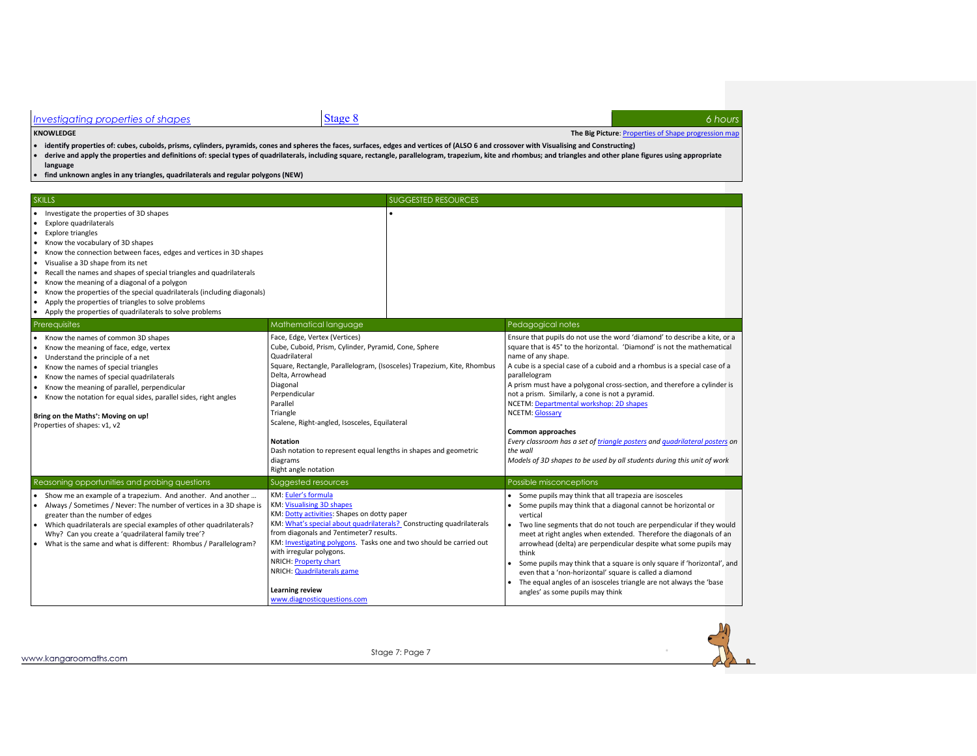<span id="page-6-0"></span>

| Investigation proportion of shapes<br>investigating properties of snapes | Stage 8 | 6 hours |
|--------------------------------------------------------------------------|---------|---------|
|                                                                          |         |         |

**KNOWLEDGE The Big Picture:** <u>Properties of Shape progression ma</u>

• **identify properties of: cubes, cuboids, prisms, cylinders, pyramids, cones and spheres the faces, surfaces, edges and vertices of (ALSO 6 and crossover with Visualising and Constructing)**

• **derive and apply the properties and definitions of: special types of quadrilaterals, including square, rectangle, parallelogram, trapezium, kite and rhombus; and triangles and other plane figures using appropriate language**

• **find unknown angles in any triangles, quadrilaterals and regular polygons (NEW)**

| <b>SKILLS</b>                                                                                                                                                                                                                                                                                                                                                                                                                                                                                                                                                                                                                                                    | <b>SUGGESTED RESOURCES</b>                                                                                                                                                                                                                                                                                                                                                                                                                   |                                                                                                                                                                                                                                                                                                                                                                                                                                                                                                                                                                                                                                                                         |
|------------------------------------------------------------------------------------------------------------------------------------------------------------------------------------------------------------------------------------------------------------------------------------------------------------------------------------------------------------------------------------------------------------------------------------------------------------------------------------------------------------------------------------------------------------------------------------------------------------------------------------------------------------------|----------------------------------------------------------------------------------------------------------------------------------------------------------------------------------------------------------------------------------------------------------------------------------------------------------------------------------------------------------------------------------------------------------------------------------------------|-------------------------------------------------------------------------------------------------------------------------------------------------------------------------------------------------------------------------------------------------------------------------------------------------------------------------------------------------------------------------------------------------------------------------------------------------------------------------------------------------------------------------------------------------------------------------------------------------------------------------------------------------------------------------|
| Investigate the properties of 3D shapes<br>$\bullet$<br>Explore quadrilaterals<br><b>Explore triangles</b><br>$\bullet$<br>Know the vocabulary of 3D shapes<br>$\bullet$<br>Know the connection between faces, edges and vertices in 3D shapes<br>$\bullet$<br>Visualise a 3D shape from its net<br>$\bullet$<br>Recall the names and shapes of special triangles and quadrilaterals<br>٠<br>Know the meaning of a diagonal of a polygon<br>Know the properties of the special quadrilaterals (including diagonals)<br>$\bullet$<br>Apply the properties of triangles to solve problems<br>$\bullet$<br>Apply the properties of quadrilaterals to solve problems |                                                                                                                                                                                                                                                                                                                                                                                                                                              |                                                                                                                                                                                                                                                                                                                                                                                                                                                                                                                                                                                                                                                                         |
| Prerequisites                                                                                                                                                                                                                                                                                                                                                                                                                                                                                                                                                                                                                                                    | Mathematical language                                                                                                                                                                                                                                                                                                                                                                                                                        | Pedagogical notes                                                                                                                                                                                                                                                                                                                                                                                                                                                                                                                                                                                                                                                       |
| Know the names of common 3D shapes<br>Know the meaning of face, edge, vertex<br>$\bullet$<br>Understand the principle of a net<br>$\bullet$<br>Know the names of special triangles<br>٠<br>Know the names of special quadrilaterals<br>$\bullet$<br>Know the meaning of parallel, perpendicular<br>$\bullet$<br>Know the notation for equal sides, parallel sides, right angles<br>$\bullet$<br>Bring on the Maths <sup>+</sup> : Moving on up!<br>Properties of shapes: v1, v2                                                                                                                                                                                  | Face, Edge, Vertex (Vertices)<br>Cube, Cuboid, Prism, Cylinder, Pyramid, Cone, Sphere<br>Quadrilateral<br>Square, Rectangle, Parallelogram, (Isosceles) Trapezium, Kite, Rhombus<br>Delta, Arrowhead<br>Diagonal<br>Perpendicular<br>Parallel<br>Triangle<br>Scalene, Right-angled, Isosceles, Equilateral<br><b>Notation</b><br>Dash notation to represent equal lengths in shapes and geometric<br>diagrams<br>Right angle notation        | Ensure that pupils do not use the word 'diamond' to describe a kite, or a<br>square that is 45° to the horizontal. 'Diamond' is not the mathematical<br>name of any shape.<br>A cube is a special case of a cuboid and a rhombus is a special case of a<br>parallelogram<br>A prism must have a polygonal cross-section, and therefore a cylinder is<br>not a prism. Similarly, a cone is not a pyramid.<br>NCETM: Departmental workshop: 2D shapes<br>NCETM: Glossary<br><b>Common approaches</b><br>Every classroom has a set of triangle posters and quadrilateral posters on<br>the wall<br>Models of 3D shapes to be used by all students during this unit of work |
| Reasoning opportunities and probing questions                                                                                                                                                                                                                                                                                                                                                                                                                                                                                                                                                                                                                    | Suggested resources                                                                                                                                                                                                                                                                                                                                                                                                                          | Possible misconceptions                                                                                                                                                                                                                                                                                                                                                                                                                                                                                                                                                                                                                                                 |
| Show me an example of a trapezium. And another. And another<br>Always / Sometimes / Never: The number of vertices in a 3D shape is<br>greater than the number of edges<br>• Which quadrilaterals are special examples of other quadrilaterals?<br>Why? Can you create a 'quadrilateral family tree'?<br>• What is the same and what is different: Rhombus / Parallelogram?                                                                                                                                                                                                                                                                                       | KM: Euler's formula<br><b>KM: Visualising 3D shapes</b><br>KM: Dotty activities: Shapes on dotty paper<br>KM: What's special about quadrilaterals? Constructing quadrilaterals<br>from diagonals and 7entimeter7 results.<br>KM: Investigating polygons. Tasks one and two should be carried out<br>with irregular polygons.<br>NRICH: Property chart<br>NRICH: Quadrilaterals game<br><b>Learning review</b><br>www.diagnosticquestions.com | • Some pupils may think that all trapezia are isosceles<br>• Some pupils may think that a diagonal cannot be horizontal or<br>vertical<br>• Two line segments that do not touch are perpendicular if they would<br>meet at right angles when extended. Therefore the diagonals of an<br>arrowhead (delta) are perpendicular despite what some pupils may<br>think<br>• Some pupils may think that a square is only square if 'horizontal', and<br>even that a 'non-horizontal' square is called a diamond<br>• The equal angles of an isosceles triangle are not always the 'base'<br>angles' as some pupils may think                                                  |

www.kangaroomaths.com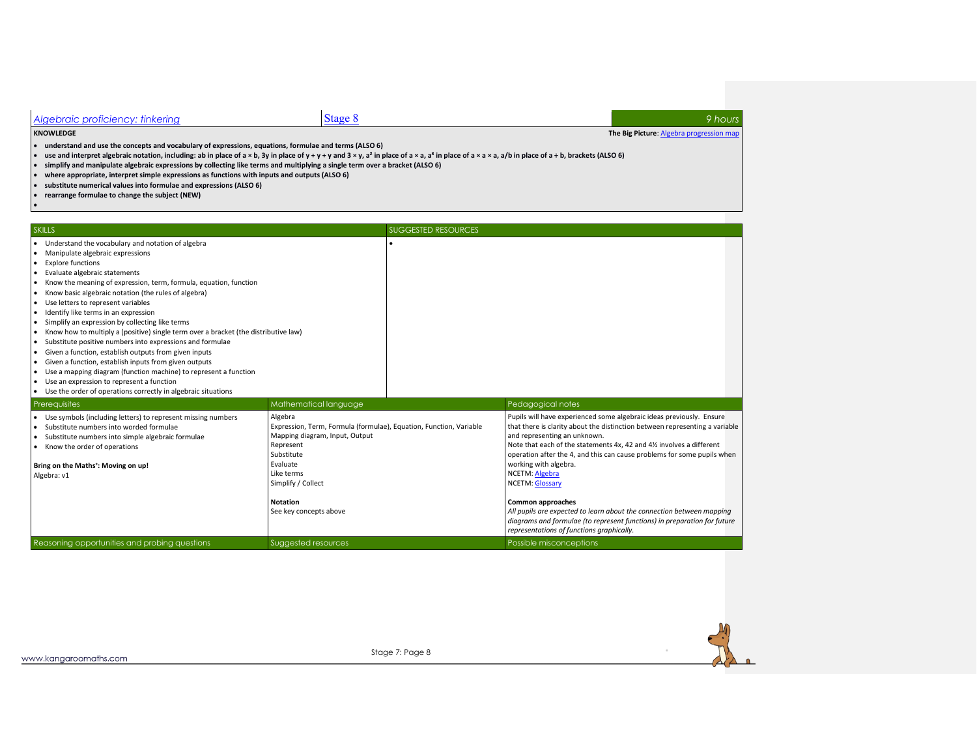<span id="page-7-0"></span>

**KNOWLEDGE The Big Picture:** Algebra progression map in the Big Picture[: Algebra progression map](http://kangaroomaths.com/free_resources/planning/KM_MathematicsProgression_Algebra.xlsx)

• **understand and use the concepts and vocabulary of expressions, equations, formulae and terms (ALSO 6)**

• **use and interpret algebraic notation, including: ab in place of a × b, 3y in place of y + y + y and 3 × y, a² in place of a × a, a³ in place of a × a × a, a/b in place of a ÷ b, brackets (ALSO 6)**

• **simplify and manipulate algebraic expressions by collecting like terms and multiplying a single term over a bracket (ALSO 6)**

• **where appropriate, interpret simple expressions as functions with inputs and outputs (ALSO 6)**

• **substitute numerical values into formulae and expressions (ALSO 6)**

• **rearrange formulae to change the subject (NEW)**

•

| <b>SKILLS</b>                                                                                                                                                                                                                                                                                                                                                                                                                                                                                                                                                                                                                                                                                                                                                                                                                                                                         |                                                                                                                                                                                                               | <b>SUGGESTED RESOURCES</b> |                                                                                                                                                                                                                                                                                                                                                                                                                                 |
|---------------------------------------------------------------------------------------------------------------------------------------------------------------------------------------------------------------------------------------------------------------------------------------------------------------------------------------------------------------------------------------------------------------------------------------------------------------------------------------------------------------------------------------------------------------------------------------------------------------------------------------------------------------------------------------------------------------------------------------------------------------------------------------------------------------------------------------------------------------------------------------|---------------------------------------------------------------------------------------------------------------------------------------------------------------------------------------------------------------|----------------------------|---------------------------------------------------------------------------------------------------------------------------------------------------------------------------------------------------------------------------------------------------------------------------------------------------------------------------------------------------------------------------------------------------------------------------------|
| Understand the vocabulary and notation of algebra<br>Manipulate algebraic expressions<br><b>Explore functions</b><br>Evaluate algebraic statements<br>Know the meaning of expression, term, formula, equation, function<br>Know basic algebraic notation (the rules of algebra)<br>Use letters to represent variables<br>Identify like terms in an expression<br>$\bullet$<br>Simplify an expression by collecting like terms<br>Know how to multiply a (positive) single term over a bracket (the distributive law)<br>Substitute positive numbers into expressions and formulae<br>Given a function, establish outputs from given inputs<br>Given a function, establish inputs from given outputs<br>Use a mapping diagram (function machine) to represent a function<br>Use an expression to represent a function<br>Use the order of operations correctly in algebraic situations |                                                                                                                                                                                                               |                            |                                                                                                                                                                                                                                                                                                                                                                                                                                 |
| Prerequisites                                                                                                                                                                                                                                                                                                                                                                                                                                                                                                                                                                                                                                                                                                                                                                                                                                                                         | Mathematical language                                                                                                                                                                                         |                            | Pedagogical notes                                                                                                                                                                                                                                                                                                                                                                                                               |
| Use symbols (including letters) to represent missing numbers<br>Substitute numbers into worded formulae<br>Substitute numbers into simple algebraic formulae<br>Know the order of operations<br>$\bullet$<br>Bring on the Maths <sup>+</sup> : Moving on up!<br>Algebra: v1                                                                                                                                                                                                                                                                                                                                                                                                                                                                                                                                                                                                           | Algebra<br>Expression, Term, Formula (formulae), Equation, Function, Variable<br>Mapping diagram, Input, Output<br>Represent<br>Substitute<br>Evaluate<br>Like terms<br>Simplify / Collect<br><b>Notation</b> |                            | Pupils will have experienced some algebraic ideas previously. Ensure<br>that there is clarity about the distinction between representing a variable<br>and representing an unknown.<br>Note that each of the statements 4x, 42 and 4½ involves a different<br>operation after the 4, and this can cause problems for some pupils when<br>working with algebra.<br>NCETM: Algebra<br><b>NCETM: Glossary</b><br>Common approaches |
| Reasoning opportunities and probing questions                                                                                                                                                                                                                                                                                                                                                                                                                                                                                                                                                                                                                                                                                                                                                                                                                                         | See key concepts above<br>Suggested resources                                                                                                                                                                 |                            | All pupils are expected to learn about the connection between mapping<br>diagrams and formulae (to represent functions) in preparation for future<br>representations of functions graphically.<br>Possible misconceptions                                                                                                                                                                                                       |

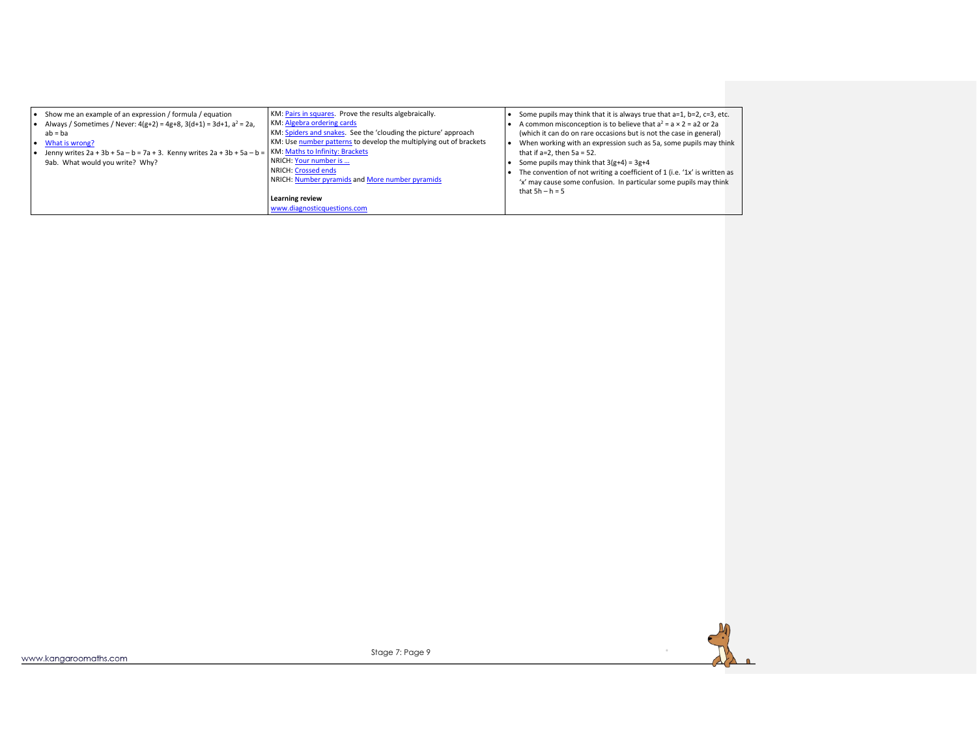| Show me an example of an expression / formula / equation                                                | KM: Pairs in squares. Prove the results algebraically.             | Some pupils may think that it is always true that a=1, b=2, c=3, etc.     |
|---------------------------------------------------------------------------------------------------------|--------------------------------------------------------------------|---------------------------------------------------------------------------|
| Always / Sometimes / Never: $4(g+2) = 4g+8$ , $3(d+1) = 3d+1$ , $a^2 = 2a$ ,                            | KM: Algebra ordering cards                                         | A common misconception is to believe that $a^2 = a \times 2 = a2$ or 2a   |
| $ab = ba$                                                                                               | KM: Spiders and snakes. See the 'clouding the picture' approach    | (which it can do on rare occasions but is not the case in general)        |
| What is wrong?                                                                                          | KM: Use number patterns to develop the multiplying out of brackets | When working with an expression such as 5a, some pupils may think         |
| Jenny writes 2a + 3b + 5a - b = 7a + 3. Kenny writes 2a + 3b + 5a - b = KM: Maths to Infinity: Brackets |                                                                    | that if $a=2$ , then $5a = 52$ .                                          |
| 9ab. What would you write? Why?                                                                         | NRICH: Your number is                                              | Some pupils may think that $3(g+4) = 3g+4$                                |
|                                                                                                         | <b>NRICH: Crossed ends</b>                                         | The convention of not writing a coefficient of 1 (i.e. '1x' is written as |
|                                                                                                         | NRICH: Number pyramids and More number pyramids                    | 'x' may cause some confusion. In particular some pupils may think         |
|                                                                                                         |                                                                    | that $5h - h = 5$                                                         |
|                                                                                                         | <b>Learning review</b>                                             |                                                                           |
|                                                                                                         | www.diagnosticquestions.com                                        |                                                                           |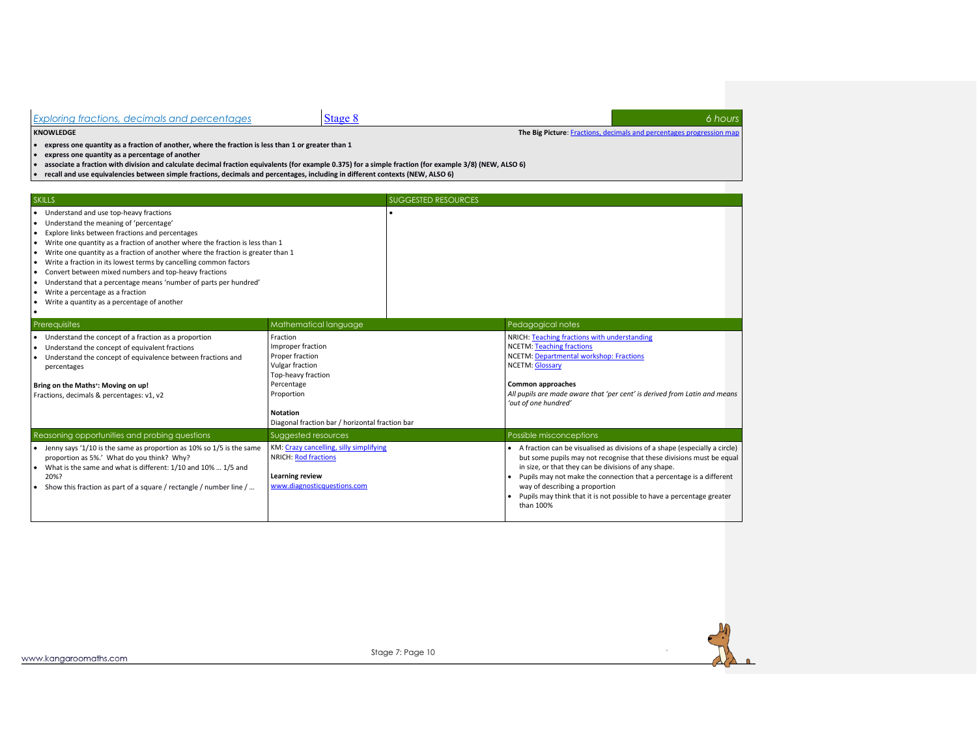## <span id="page-9-0"></span>*Exploring fractions, decimals and percentages* [Stage 8](file://sweep/teacher$/maths/Teaching%20Plans%20(Linked)/2017%2018%20Teaching%20Plans%20and%20SOW/Schemes%20Of%20Work/KS3%20Stages/St8_sow.docx) *6 hours*

### **KNOWLEDGE The Big Picture:** Fractions, decimals and percentages progression ma

• **express one quantity as a fraction of another, where the fraction is less than 1 or greater than 1**

• **express one quantity as a percentage of another**

Fractions, decimals & percentages: v1, v2

• **associate a fraction with division and calculate decimal fraction equivalents (for example 0.375) for a simple fraction (for example 3/8) (NEW, ALSO 6)**

Proportion **Notation**

• **recall and use equivalencies between simple fractions, decimals and percentages, including in different contexts (NEW, ALSO 6)** 

| <b>SKILLS</b>                                                                                                                                                                                                                                                                                                                                                                                                                                                                                                                                                                                              |                                                                                           | <b>SUGGESTED RESOURCES</b> |                                                                                                                                                |
|------------------------------------------------------------------------------------------------------------------------------------------------------------------------------------------------------------------------------------------------------------------------------------------------------------------------------------------------------------------------------------------------------------------------------------------------------------------------------------------------------------------------------------------------------------------------------------------------------------|-------------------------------------------------------------------------------------------|----------------------------|------------------------------------------------------------------------------------------------------------------------------------------------|
| Understand and use top-heavy fractions<br>$\bullet$<br>Understand the meaning of 'percentage'<br>Explore links between fractions and percentages<br>Write one quantity as a fraction of another where the fraction is less than 1<br>Write one quantity as a fraction of another where the fraction is greater than 1<br>Write a fraction in its lowest terms by cancelling common factors<br>Convert between mixed numbers and top-heavy fractions<br>Understand that a percentage means 'number of parts per hundred'<br>Write a percentage as a fraction<br>Write a quantity as a percentage of another |                                                                                           |                            |                                                                                                                                                |
| Prerequisites                                                                                                                                                                                                                                                                                                                                                                                                                                                                                                                                                                                              | Mathematical language                                                                     |                            | Pedagogical notes                                                                                                                              |
| Understand the concept of a fraction as a proportion<br>Understand the concept of equivalent fractions<br>Understand the concept of equivalence between fractions and<br>percentages                                                                                                                                                                                                                                                                                                                                                                                                                       | Fraction<br>Improper fraction<br>Proper fraction<br>Vulgar fraction<br>Top-heavy fraction |                            | NRICH: Teaching fractions with understanding<br><b>NCETM: Teaching fractions</b><br>NCETM: Departmental workshop: Fractions<br>NCETM: Glossary |
| Bring on the Maths <sup>+</sup> : Moving on up!                                                                                                                                                                                                                                                                                                                                                                                                                                                                                                                                                            | Percentage                                                                                |                            | Common approaches                                                                                                                              |

**Common approaches** *All pupils are made aware that 'per cent' is derived from Latin and means 'out of one hundred'*

|                                                                                                                                                                                            | Diagonal fraction bar / horizontal fraction bar                        |                                                                                                                                                                                                            |
|--------------------------------------------------------------------------------------------------------------------------------------------------------------------------------------------|------------------------------------------------------------------------|------------------------------------------------------------------------------------------------------------------------------------------------------------------------------------------------------------|
| Reasoning opportunities and probing questions                                                                                                                                              | Suggested resources                                                    | Possible misconceptions                                                                                                                                                                                    |
| Jenny says '1/10 is the same as proportion as 10% so 1/5 is the same<br>. .<br>proportion as 5%.' What do you think? Why?<br>What is the same and what is different: 1/10 and 10%  1/5 and | KM: Crazy cancelling, silly simplifying<br><b>NRICH: Rod fractions</b> | A fraction can be visualised as divisions of a shape (especially a circle)<br>but some pupils may not recognise that these divisions must be equal<br>in size, or that they can be divisions of any shape. |
| 20%?<br>Show this fraction as part of a square / rectangle / number line /                                                                                                                 | Learning review<br>www.diagnosticquestions.com                         | Pupils may not make the connection that a percentage is a different<br>way of describing a proportion<br>Pupils may think that it is not possible to have a percentage greater<br>than 100%                |

www.kangaroomaths.com

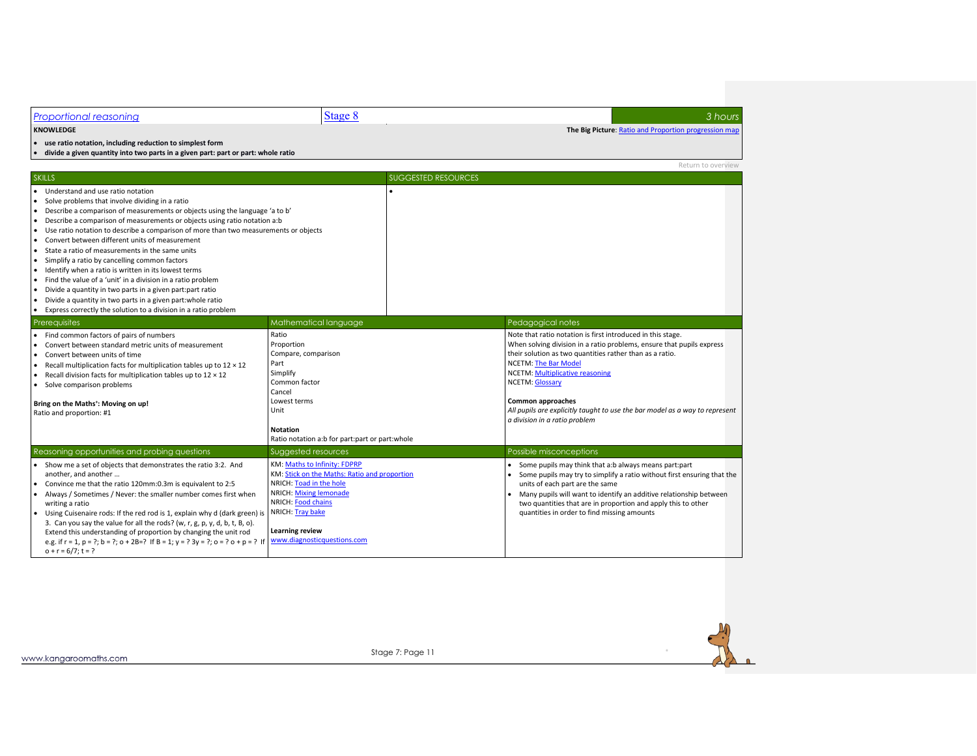<span id="page-10-0"></span>

|                                                          | Proportional reasonina                                                                                                                                                                                                                                                                                                                                                                                                                                                                                                                                                                                                                                                                                                                             | Stage 8                                                                                                                                                                                                                                            |                            | 3 hours                                                                                                                                                                                                                                                                                                                                                                                                                                  |
|----------------------------------------------------------|----------------------------------------------------------------------------------------------------------------------------------------------------------------------------------------------------------------------------------------------------------------------------------------------------------------------------------------------------------------------------------------------------------------------------------------------------------------------------------------------------------------------------------------------------------------------------------------------------------------------------------------------------------------------------------------------------------------------------------------------------|----------------------------------------------------------------------------------------------------------------------------------------------------------------------------------------------------------------------------------------------------|----------------------------|------------------------------------------------------------------------------------------------------------------------------------------------------------------------------------------------------------------------------------------------------------------------------------------------------------------------------------------------------------------------------------------------------------------------------------------|
| <b>KNOWLEDGE</b>                                         |                                                                                                                                                                                                                                                                                                                                                                                                                                                                                                                                                                                                                                                                                                                                                    |                                                                                                                                                                                                                                                    |                            | The Big Picture: Ratio and Proportion progression map                                                                                                                                                                                                                                                                                                                                                                                    |
| use ratio notation, including reduction to simplest form |                                                                                                                                                                                                                                                                                                                                                                                                                                                                                                                                                                                                                                                                                                                                                    |                                                                                                                                                                                                                                                    |                            |                                                                                                                                                                                                                                                                                                                                                                                                                                          |
|                                                          | divide a given quantity into two parts in a given part: part or part: whole ratio                                                                                                                                                                                                                                                                                                                                                                                                                                                                                                                                                                                                                                                                  |                                                                                                                                                                                                                                                    |                            |                                                                                                                                                                                                                                                                                                                                                                                                                                          |
|                                                          |                                                                                                                                                                                                                                                                                                                                                                                                                                                                                                                                                                                                                                                                                                                                                    |                                                                                                                                                                                                                                                    |                            | Return to overview                                                                                                                                                                                                                                                                                                                                                                                                                       |
| <b>SKILLS</b>                                            |                                                                                                                                                                                                                                                                                                                                                                                                                                                                                                                                                                                                                                                                                                                                                    |                                                                                                                                                                                                                                                    | <b>SUGGESTED RESOURCES</b> |                                                                                                                                                                                                                                                                                                                                                                                                                                          |
|                                                          | Understand and use ratio notation<br>Solve problems that involve dividing in a ratio<br>Describe a comparison of measurements or objects using the language 'a to b'<br>Describe a comparison of measurements or objects using ratio notation a:b<br>Use ratio notation to describe a comparison of more than two measurements or objects<br>Convert between different units of measurement<br>State a ratio of measurements in the same units<br>Simplify a ratio by cancelling common factors<br>Identify when a ratio is written in its lowest terms<br>Find the value of a 'unit' in a division in a ratio problem<br>Divide a quantity in two parts in a given part:part ratio<br>Divide a quantity in two parts in a given part: whole ratio |                                                                                                                                                                                                                                                    |                            |                                                                                                                                                                                                                                                                                                                                                                                                                                          |
|                                                          | Express correctly the solution to a division in a ratio problem                                                                                                                                                                                                                                                                                                                                                                                                                                                                                                                                                                                                                                                                                    |                                                                                                                                                                                                                                                    |                            |                                                                                                                                                                                                                                                                                                                                                                                                                                          |
| Prerequisites                                            |                                                                                                                                                                                                                                                                                                                                                                                                                                                                                                                                                                                                                                                                                                                                                    | Mathematical language                                                                                                                                                                                                                              |                            | Pedagogical notes                                                                                                                                                                                                                                                                                                                                                                                                                        |
|                                                          | Find common factors of pairs of numbers<br>Convert between standard metric units of measurement<br>Convert between units of time<br>Recall multiplication facts for multiplication tables up to $12 \times 12$<br>Recall division facts for multiplication tables up to $12 \times 12$<br>Solve comparison problems<br>Bring on the Maths <sup>+</sup> : Moving on up!<br>Ratio and proportion: #1                                                                                                                                                                                                                                                                                                                                                 | Ratio<br>Proportion<br>Compare, comparison<br>Part<br>Simplify<br>Common factor<br>Cancel<br>Lowest terms<br>Unit                                                                                                                                  |                            | Note that ratio notation is first introduced in this stage.<br>When solving division in a ratio problems, ensure that pupils express<br>their solution as two quantities rather than as a ratio.<br><b>NCETM: The Bar Model</b><br><b>NCETM: Multiplicative reasoning</b><br><b>NCETM: Glossary</b><br>Common approaches<br>All pupils are explicitly taught to use the bar model as a way to represent<br>a division in a ratio problem |
|                                                          |                                                                                                                                                                                                                                                                                                                                                                                                                                                                                                                                                                                                                                                                                                                                                    | <b>Notation</b><br>Ratio notation a:b for part:part or part:whole                                                                                                                                                                                  |                            |                                                                                                                                                                                                                                                                                                                                                                                                                                          |
|                                                          | Reasoning opportunities and probing questions                                                                                                                                                                                                                                                                                                                                                                                                                                                                                                                                                                                                                                                                                                      | Suggested resources                                                                                                                                                                                                                                |                            | Possible misconceptions                                                                                                                                                                                                                                                                                                                                                                                                                  |
|                                                          | • Show me a set of objects that demonstrates the ratio 3:2. And<br>another, and another<br>Convince me that the ratio 120mm:0.3m is equivalent to 2:5<br>Always / Sometimes / Never: the smaller number comes first when<br>writing a ratio<br>Using Cuisenaire rods: If the red rod is 1, explain why d (dark green) is<br>3. Can you say the value for all the rods? (w, r, g, p, y, d, b, t, B, o).<br>Extend this understanding of proportion by changing the unit rod<br>e.g. if $r = 1$ , $p = ?$ ; $b = ?$ ; $o + 2B = ?$ If $B = 1$ ; $y = ?$ $3y = ?$ ; $o = ?$ $o + p = ?$ If<br>$o + r = 6/7$ ; t = ?                                                                                                                                   | <b>KM: Maths to Infinity: FDPRP</b><br>KM: Stick on the Maths: Ratio and proportion<br>NRICH: Toad in the hole<br><b>NRICH: Mixing lemonade</b><br>NRICH: Food chains<br>NRICH: Tray bake<br><b>Learning review</b><br>www.diagnosticquestions.com |                            | Some pupils may think that a:b always means part:part<br>• Some pupils may try to simplify a ratio without first ensuring that the<br>units of each part are the same<br>Many pupils will want to identify an additive relationship between<br>$\bullet$<br>two quantities that are in proportion and apply this to other<br>quantities in order to find missing amounts                                                                 |



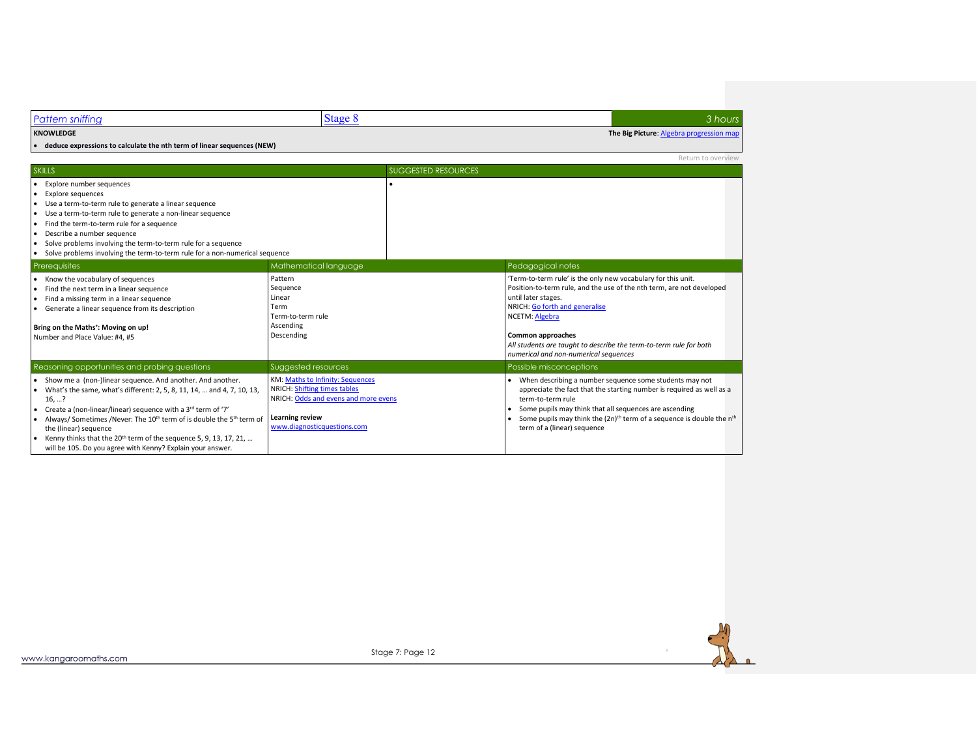<span id="page-11-0"></span>

| <b>Pattern sniffing</b>                                                                                                                                                                                                                                                                                                                                                                                                                                                                           | Stage 8                                                                                                                                                                         |                            | 3 hours                                                                                                                                                                                                                                                                                                                                                      |
|---------------------------------------------------------------------------------------------------------------------------------------------------------------------------------------------------------------------------------------------------------------------------------------------------------------------------------------------------------------------------------------------------------------------------------------------------------------------------------------------------|---------------------------------------------------------------------------------------------------------------------------------------------------------------------------------|----------------------------|--------------------------------------------------------------------------------------------------------------------------------------------------------------------------------------------------------------------------------------------------------------------------------------------------------------------------------------------------------------|
| <b>KNOWLEDGE</b>                                                                                                                                                                                                                                                                                                                                                                                                                                                                                  |                                                                                                                                                                                 |                            | The Big Picture: Algebra progression map                                                                                                                                                                                                                                                                                                                     |
| deduce expressions to calculate the nth term of linear sequences (NEW)                                                                                                                                                                                                                                                                                                                                                                                                                            |                                                                                                                                                                                 |                            |                                                                                                                                                                                                                                                                                                                                                              |
|                                                                                                                                                                                                                                                                                                                                                                                                                                                                                                   |                                                                                                                                                                                 |                            | Return to overview                                                                                                                                                                                                                                                                                                                                           |
| <b>SKILLS</b>                                                                                                                                                                                                                                                                                                                                                                                                                                                                                     |                                                                                                                                                                                 | <b>SUGGESTED RESOURCES</b> |                                                                                                                                                                                                                                                                                                                                                              |
| Explore number sequences<br>٠<br><b>Explore sequences</b><br>Use a term-to-term rule to generate a linear sequence<br>Use a term-to-term rule to generate a non-linear sequence<br>$\bullet$<br>Find the term-to-term rule for a sequence<br>Describe a number sequence<br>Solve problems involving the term-to-term rule for a sequence<br>$\bullet$<br>Solve problems involving the term-to-term rule for a non-numerical sequence                                                              |                                                                                                                                                                                 |                            |                                                                                                                                                                                                                                                                                                                                                              |
| Prerequisites                                                                                                                                                                                                                                                                                                                                                                                                                                                                                     | Mathematical language                                                                                                                                                           |                            | Pedagogical notes                                                                                                                                                                                                                                                                                                                                            |
| Know the vocabulary of sequences<br>Find the next term in a linear sequence<br>Find a missing term in a linear sequence<br>Generate a linear sequence from its description<br>Bring on the Maths <sup>+</sup> : Moving on up!<br>Number and Place Value: #4, #5                                                                                                                                                                                                                                   | Pattern<br>Sequence<br>Linear<br>Term<br>Term-to-term rule<br>Ascending<br>Descending                                                                                           |                            | 'Term-to-term rule' is the only new vocabulary for this unit.<br>Position-to-term rule, and the use of the nth term, are not developed<br>until later stages.<br>NRICH: Go forth and generalise<br>NCETM: Algebra<br><b>Common approaches</b><br>All students are taught to describe the term-to-term rule for both<br>numerical and non-numerical sequences |
| Reasoning opportunities and probing questions                                                                                                                                                                                                                                                                                                                                                                                                                                                     | Suggested resources                                                                                                                                                             |                            | Possible misconceptions                                                                                                                                                                                                                                                                                                                                      |
| Show me a (non-)linear sequence. And another. And another.<br>What's the same, what's different: 2, 5, 8, 11, 14,  and 4, 7, 10, 13<br>16, ?<br>Create a (non-linear/linear) sequence with a 3rd term of '7'<br>$\bullet$<br>Always/ Sometimes /Never: The 10 <sup>th</sup> term of is double the 5 <sup>th</sup> term of<br>the (linear) sequence<br>Kenny thinks that the 20 <sup>th</sup> term of the sequence 5, 9, 13, 17, 21,<br>will be 105. Do you agree with Kenny? Explain your answer. | <b>KM: Maths to Infinity: Sequences</b><br><b>NRICH: Shifting times tables</b><br>NRICH: Odds and evens and more evens<br><b>Learning review</b><br>www.diagnosticquestions.com |                            | • When describing a number sequence some students may not<br>appreciate the fact that the starting number is required as well as a<br>term-to-term rule<br>Some pupils may think that all sequences are ascending<br>٠<br>Some pupils may think the (2n) <sup>th</sup> term of a sequence is double the n <sup>th</sup><br>term of a (linear) sequence       |

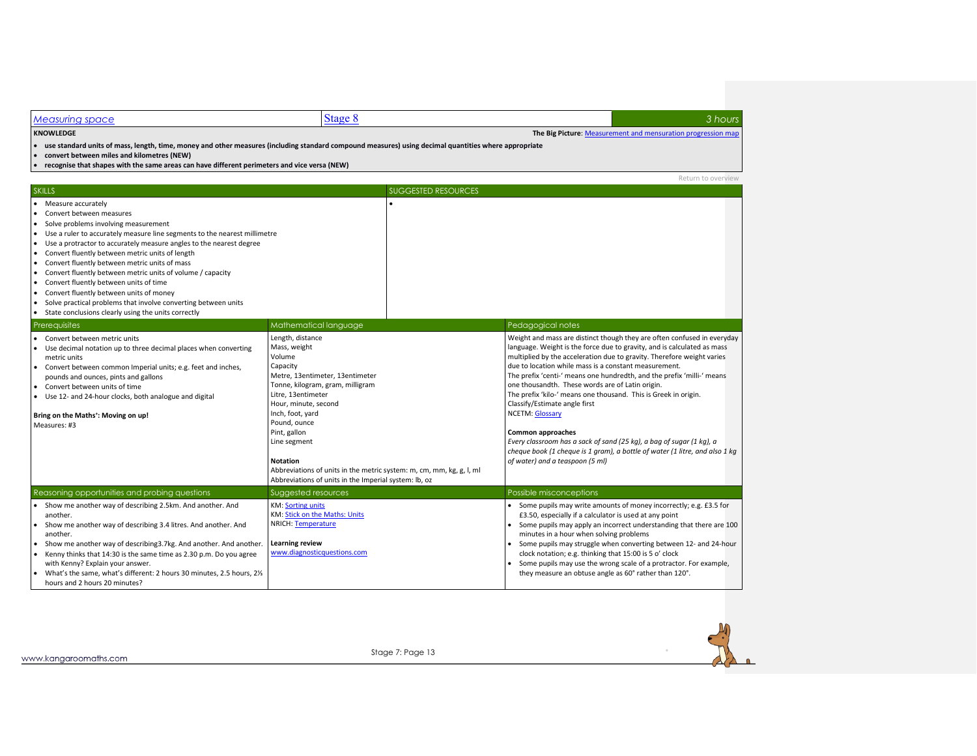<span id="page-12-0"></span>

| <b>Measuring space</b>                                                                                                                                                                                                                                                                                                                                                                 | Stage 8                                                                                                                                                                                                                                         | 3 hours                                                                                                                                                                                                                                                                                                                                                                                                                                                                                                                                                                                                                                                                                                                |  |  |  |
|----------------------------------------------------------------------------------------------------------------------------------------------------------------------------------------------------------------------------------------------------------------------------------------------------------------------------------------------------------------------------------------|-------------------------------------------------------------------------------------------------------------------------------------------------------------------------------------------------------------------------------------------------|------------------------------------------------------------------------------------------------------------------------------------------------------------------------------------------------------------------------------------------------------------------------------------------------------------------------------------------------------------------------------------------------------------------------------------------------------------------------------------------------------------------------------------------------------------------------------------------------------------------------------------------------------------------------------------------------------------------------|--|--|--|
| <b>KNOWLEDGE</b>                                                                                                                                                                                                                                                                                                                                                                       |                                                                                                                                                                                                                                                 | The Big Picture: Measurement and mensuration progression map                                                                                                                                                                                                                                                                                                                                                                                                                                                                                                                                                                                                                                                           |  |  |  |
| use standard units of mass, length, time, money and other measures (including standard compound measures) using decimal quantities where appropriate                                                                                                                                                                                                                                   |                                                                                                                                                                                                                                                 |                                                                                                                                                                                                                                                                                                                                                                                                                                                                                                                                                                                                                                                                                                                        |  |  |  |
| convert between miles and kilometres (NEW)                                                                                                                                                                                                                                                                                                                                             |                                                                                                                                                                                                                                                 |                                                                                                                                                                                                                                                                                                                                                                                                                                                                                                                                                                                                                                                                                                                        |  |  |  |
| recognise that shapes with the same areas can have different perimeters and vice versa (NEW)                                                                                                                                                                                                                                                                                           |                                                                                                                                                                                                                                                 |                                                                                                                                                                                                                                                                                                                                                                                                                                                                                                                                                                                                                                                                                                                        |  |  |  |
|                                                                                                                                                                                                                                                                                                                                                                                        |                                                                                                                                                                                                                                                 | Return to overview                                                                                                                                                                                                                                                                                                                                                                                                                                                                                                                                                                                                                                                                                                     |  |  |  |
| <b>SKILLS</b>                                                                                                                                                                                                                                                                                                                                                                          | <b>SUGGESTED RESOURCES</b>                                                                                                                                                                                                                      |                                                                                                                                                                                                                                                                                                                                                                                                                                                                                                                                                                                                                                                                                                                        |  |  |  |
| Measure accurately                                                                                                                                                                                                                                                                                                                                                                     |                                                                                                                                                                                                                                                 |                                                                                                                                                                                                                                                                                                                                                                                                                                                                                                                                                                                                                                                                                                                        |  |  |  |
| Convert between measures                                                                                                                                                                                                                                                                                                                                                               |                                                                                                                                                                                                                                                 |                                                                                                                                                                                                                                                                                                                                                                                                                                                                                                                                                                                                                                                                                                                        |  |  |  |
| Solve problems involving measurement<br>Use a ruler to accurately measure line segments to the nearest millimetre                                                                                                                                                                                                                                                                      |                                                                                                                                                                                                                                                 |                                                                                                                                                                                                                                                                                                                                                                                                                                                                                                                                                                                                                                                                                                                        |  |  |  |
| Use a protractor to accurately measure angles to the nearest degree<br>$\bullet$                                                                                                                                                                                                                                                                                                       |                                                                                                                                                                                                                                                 |                                                                                                                                                                                                                                                                                                                                                                                                                                                                                                                                                                                                                                                                                                                        |  |  |  |
| Convert fluently between metric units of length<br>$\bullet$                                                                                                                                                                                                                                                                                                                           |                                                                                                                                                                                                                                                 |                                                                                                                                                                                                                                                                                                                                                                                                                                                                                                                                                                                                                                                                                                                        |  |  |  |
| Convert fluently between metric units of mass<br>$\bullet$                                                                                                                                                                                                                                                                                                                             |                                                                                                                                                                                                                                                 |                                                                                                                                                                                                                                                                                                                                                                                                                                                                                                                                                                                                                                                                                                                        |  |  |  |
| Convert fluently between metric units of volume / capacity<br>$\bullet$                                                                                                                                                                                                                                                                                                                |                                                                                                                                                                                                                                                 |                                                                                                                                                                                                                                                                                                                                                                                                                                                                                                                                                                                                                                                                                                                        |  |  |  |
| Convert fluently between units of time<br>Convert fluently between units of money                                                                                                                                                                                                                                                                                                      |                                                                                                                                                                                                                                                 |                                                                                                                                                                                                                                                                                                                                                                                                                                                                                                                                                                                                                                                                                                                        |  |  |  |
| Solve practical problems that involve converting between units<br>$\bullet$                                                                                                                                                                                                                                                                                                            |                                                                                                                                                                                                                                                 |                                                                                                                                                                                                                                                                                                                                                                                                                                                                                                                                                                                                                                                                                                                        |  |  |  |
| State conclusions clearly using the units correctly                                                                                                                                                                                                                                                                                                                                    |                                                                                                                                                                                                                                                 |                                                                                                                                                                                                                                                                                                                                                                                                                                                                                                                                                                                                                                                                                                                        |  |  |  |
| Prerequisites                                                                                                                                                                                                                                                                                                                                                                          | Mathematical language                                                                                                                                                                                                                           | Pedagogical notes                                                                                                                                                                                                                                                                                                                                                                                                                                                                                                                                                                                                                                                                                                      |  |  |  |
| Convert between metric units<br>Use decimal notation up to three decimal places when converting<br>metric units<br>Convert between common Imperial units; e.g. feet and inches,<br>pounds and ounces, pints and gallons<br>Convert between units of time<br>• Use 12- and 24-hour clocks, both analogue and digital<br>Bring on the Maths <sup>+</sup> : Moving on up!<br>Measures: #3 | Length, distance<br>Mass, weight<br>Volume<br>Capacity<br>Metre, 13entimeter, 13entimeter<br>Tonne, kilogram, gram, milligram<br>Litre, 13entimeter<br>Hour, minute, second<br>Inch, foot, yard<br>Pound, ounce<br>Pint, gallon<br>Line segment | Weight and mass are distinct though they are often confused in everyday<br>language. Weight is the force due to gravity, and is calculated as mass<br>multiplied by the acceleration due to gravity. Therefore weight varies<br>due to location while mass is a constant measurement.<br>The prefix 'centi-' means one hundredth, and the prefix 'milli-' means<br>one thousandth. These words are of Latin origin.<br>The prefix 'kilo-' means one thousand. This is Greek in origin.<br>Classify/Estimate angle first<br>NCETM: Glossary<br>Common approaches<br>Every classroom has a sack of sand (25 kg), a bag of sugar (1 kg), a<br>cheque book (1 cheque is 1 gram), a bottle of water (1 litre, and also 1 kg |  |  |  |
|                                                                                                                                                                                                                                                                                                                                                                                        | Notation<br>Abbreviations of units in the metric system: m, cm, mm, kg, g, l, ml<br>Abbreviations of units in the Imperial system: lb, oz                                                                                                       | of water) and a teaspoon (5 ml)                                                                                                                                                                                                                                                                                                                                                                                                                                                                                                                                                                                                                                                                                        |  |  |  |
| Reasoning opportunities and probing questions                                                                                                                                                                                                                                                                                                                                          | Suggested resources                                                                                                                                                                                                                             | Possible misconceptions                                                                                                                                                                                                                                                                                                                                                                                                                                                                                                                                                                                                                                                                                                |  |  |  |
| Show me another way of describing 2.5km. And another. And<br>another.<br>Show me another way of describing 3.4 litres. And another. And<br>another.                                                                                                                                                                                                                                    | <b>KM: Sorting units</b><br>KM: Stick on the Maths: Units<br>NRICH: Temperature                                                                                                                                                                 | Some pupils may write amounts of money incorrectly; e.g. £3.5 for<br>£3.50, especially if a calculator is used at any point<br>Some pupils may apply an incorrect understanding that there are 100<br>minutes in a hour when solving problems                                                                                                                                                                                                                                                                                                                                                                                                                                                                          |  |  |  |
| Show me another way of describing 3.7kg. And another. And another.<br>Kenny thinks that 14:30 is the same time as 2.30 p.m. Do you agree<br>$\bullet$<br>with Kenny? Explain your answer.<br>What's the same, what's different: 2 hours 30 minutes, 2.5 hours, 21/3<br>hours and 2 hours 20 minutes?                                                                                   | <b>Learning review</b><br>www.diagnosticquestions.com                                                                                                                                                                                           | Some pupils may struggle when converting between 12- and 24-hour<br>clock notation; e.g. thinking that 15:00 is 5 o' clock<br>Some pupils may use the wrong scale of a protractor. For example,<br>they measure an obtuse angle as 60° rather than 120°.                                                                                                                                                                                                                                                                                                                                                                                                                                                               |  |  |  |

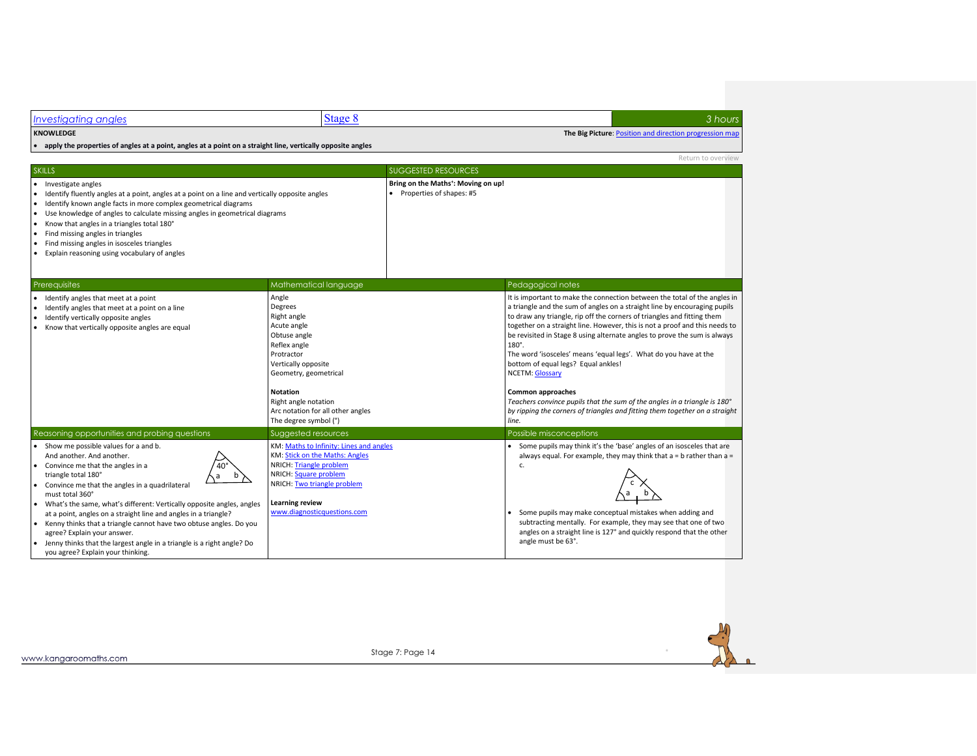<span id="page-13-0"></span>

| <b>Investigating angles</b>                                                                                                                                                                                                                                                                                                                                                                                                                                                                                                                                                            | Stage 8                                                                                                                                                                                                                                               |                                                                               | 3 hours                                                                                                                                                                                                                                                                                                                                                                                                                                                                                                                                                                                                                                                                                                                               |  |  |
|----------------------------------------------------------------------------------------------------------------------------------------------------------------------------------------------------------------------------------------------------------------------------------------------------------------------------------------------------------------------------------------------------------------------------------------------------------------------------------------------------------------------------------------------------------------------------------------|-------------------------------------------------------------------------------------------------------------------------------------------------------------------------------------------------------------------------------------------------------|-------------------------------------------------------------------------------|---------------------------------------------------------------------------------------------------------------------------------------------------------------------------------------------------------------------------------------------------------------------------------------------------------------------------------------------------------------------------------------------------------------------------------------------------------------------------------------------------------------------------------------------------------------------------------------------------------------------------------------------------------------------------------------------------------------------------------------|--|--|
| <b>KNOWLEDGE</b>                                                                                                                                                                                                                                                                                                                                                                                                                                                                                                                                                                       |                                                                                                                                                                                                                                                       |                                                                               | The Big Picture: Position and direction progression map                                                                                                                                                                                                                                                                                                                                                                                                                                                                                                                                                                                                                                                                               |  |  |
| apply the properties of angles at a point, angles at a point on a straight line, vertically opposite angles                                                                                                                                                                                                                                                                                                                                                                                                                                                                            |                                                                                                                                                                                                                                                       |                                                                               |                                                                                                                                                                                                                                                                                                                                                                                                                                                                                                                                                                                                                                                                                                                                       |  |  |
|                                                                                                                                                                                                                                                                                                                                                                                                                                                                                                                                                                                        | Return to overview                                                                                                                                                                                                                                    |                                                                               |                                                                                                                                                                                                                                                                                                                                                                                                                                                                                                                                                                                                                                                                                                                                       |  |  |
| <b>SKILLS</b>                                                                                                                                                                                                                                                                                                                                                                                                                                                                                                                                                                          |                                                                                                                                                                                                                                                       | <b>SUGGESTED RESOURCES</b>                                                    |                                                                                                                                                                                                                                                                                                                                                                                                                                                                                                                                                                                                                                                                                                                                       |  |  |
| • Investigate angles<br>Identify fluently angles at a point, angles at a point on a line and vertically opposite angles<br>Identify known angle facts in more complex geometrical diagrams<br>$\bullet$<br>Use knowledge of angles to calculate missing angles in geometrical diagrams<br>$\bullet$<br>Know that angles in a triangles total 180°<br>Find missing angles in triangles<br>Find missing angles in isosceles triangles<br>Explain reasoning using vocabulary of angles                                                                                                    |                                                                                                                                                                                                                                                       | Bring on the Maths <sup>+</sup> : Moving on up!<br>• Properties of shapes: #5 |                                                                                                                                                                                                                                                                                                                                                                                                                                                                                                                                                                                                                                                                                                                                       |  |  |
| Prerequisites                                                                                                                                                                                                                                                                                                                                                                                                                                                                                                                                                                          | Mathematical language                                                                                                                                                                                                                                 |                                                                               | Pedagogical notes                                                                                                                                                                                                                                                                                                                                                                                                                                                                                                                                                                                                                                                                                                                     |  |  |
| Identify angles that meet at a point<br>Identify angles that meet at a point on a line<br>Identify vertically opposite angles<br>Know that vertically opposite angles are equal                                                                                                                                                                                                                                                                                                                                                                                                        | Angle<br>Degrees<br>Right angle<br>Acute angle<br>Obtuse angle<br>Reflex angle<br>Protractor<br>Vertically opposite<br>Geometry, geometrical<br><b>Notation</b><br>Right angle notation<br>Arc notation for all other angles<br>The degree symbol (°) |                                                                               | It is important to make the connection between the total of the angles in<br>a triangle and the sum of angles on a straight line by encouraging pupils<br>to draw any triangle, rip off the corners of triangles and fitting them<br>together on a straight line. However, this is not a proof and this needs to<br>be revisited in Stage 8 using alternate angles to prove the sum is always<br>180°.<br>The word 'isosceles' means 'equal legs'. What do you have at the<br>bottom of equal legs? Equal ankles!<br>NCETM: Glossary<br><b>Common approaches</b><br>Teachers convince pupils that the sum of the angles in a triangle is 180°<br>by ripping the corners of triangles and fitting them together on a straight<br>line. |  |  |
| Reasoning opportunities and probing questions                                                                                                                                                                                                                                                                                                                                                                                                                                                                                                                                          | Suggested resources                                                                                                                                                                                                                                   |                                                                               | Possible misconceptions                                                                                                                                                                                                                                                                                                                                                                                                                                                                                                                                                                                                                                                                                                               |  |  |
| • Show me possible values for a and b.<br>And another. And another.<br>• Convince me that the angles in a<br>triangle total 180°<br>Convince me that the angles in a quadrilateral<br>must total 360°<br>• What's the same, what's different: Vertically opposite angles, angles<br>at a point, angles on a straight line and angles in a triangle?<br>Kenny thinks that a triangle cannot have two obtuse angles. Do you<br>$\bullet$<br>agree? Explain your answer.<br>• Jenny thinks that the largest angle in a triangle is a right angle? Do<br>you agree? Explain your thinking. | KM: Maths to Infinity: Lines and angles<br>KM: Stick on the Maths: Angles<br>NRICH: Triangle problem<br>NRICH: Square problem<br>NRICH: Two triangle problem<br><b>Learning review</b><br>www.diagnosticquestions.com                                 |                                                                               | Some pupils may think it's the 'base' angles of an isosceles that are<br>always equal. For example, they may think that $a = b$ rather than $a =$<br>c.<br>Some pupils may make conceptual mistakes when adding and<br>subtracting mentally. For example, they may see that one of two<br>angles on a straight line is 127° and quickly respond that the other<br>angle must be 63°.                                                                                                                                                                                                                                                                                                                                                  |  |  |

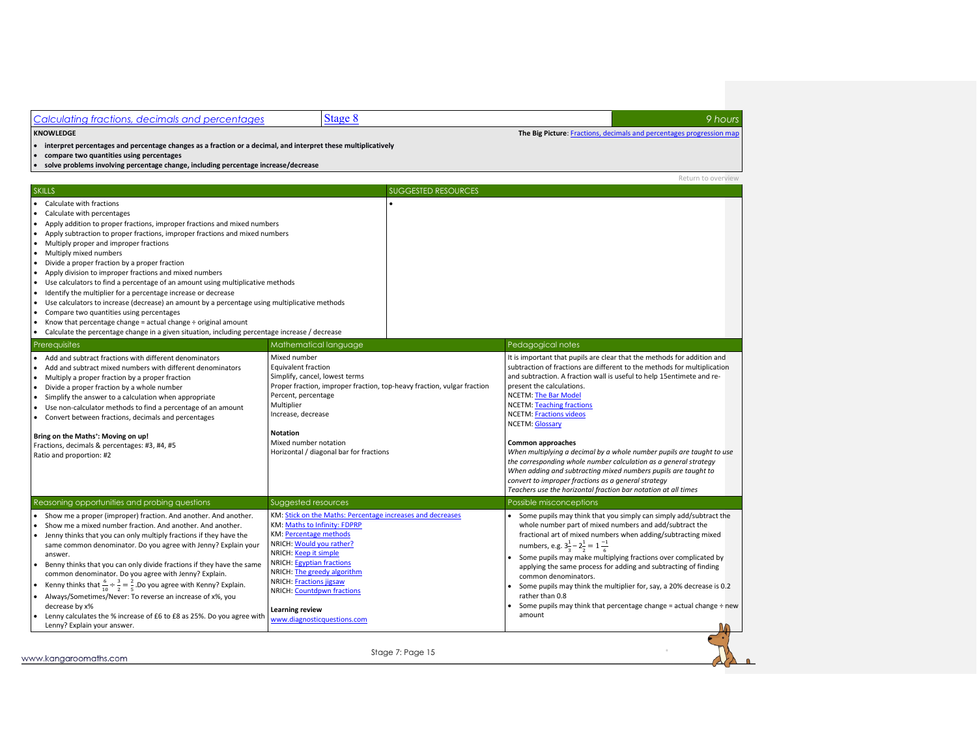<span id="page-14-0"></span>

| • interpret percentages and percentage changes as a fraction or a decimal, and interpret these multiplicatively<br>compare two quantities using percentages                       |                                                                                                |                                                                                                                               |
|-----------------------------------------------------------------------------------------------------------------------------------------------------------------------------------|------------------------------------------------------------------------------------------------|-------------------------------------------------------------------------------------------------------------------------------|
| solve problems involving percentage change, including percentage increase/decrease                                                                                                |                                                                                                |                                                                                                                               |
|                                                                                                                                                                                   |                                                                                                | Return to overview                                                                                                            |
| <b>SKILLS</b>                                                                                                                                                                     | <b>SUGGESTED RESOURCES</b>                                                                     |                                                                                                                               |
| Calculate with fractions<br>٠                                                                                                                                                     |                                                                                                |                                                                                                                               |
| Calculate with percentages<br>$\bullet$                                                                                                                                           |                                                                                                |                                                                                                                               |
| Apply addition to proper fractions, improper fractions and mixed numbers<br>Apply subtraction to proper fractions, improper fractions and mixed numbers<br>$\bullet$              |                                                                                                |                                                                                                                               |
| Multiply proper and improper fractions<br>$\bullet$                                                                                                                               |                                                                                                |                                                                                                                               |
| Multiply mixed numbers                                                                                                                                                            |                                                                                                |                                                                                                                               |
| $\bullet$<br>Divide a proper fraction by a proper fraction                                                                                                                        |                                                                                                |                                                                                                                               |
| Apply division to improper fractions and mixed numbers<br>Use calculators to find a percentage of an amount using multiplicative methods                                          |                                                                                                |                                                                                                                               |
| Identify the multiplier for a percentage increase or decrease                                                                                                                     |                                                                                                |                                                                                                                               |
| Use calculators to increase (decrease) an amount by a percentage using multiplicative methods<br>$\bullet$                                                                        |                                                                                                |                                                                                                                               |
| Compare two quantities using percentages<br>$\bullet$                                                                                                                             |                                                                                                |                                                                                                                               |
| Know that percentage change = actual change $\div$ original amount<br>Calculate the percentage change in a given situation, including percentage increase / decrease<br>$\bullet$ |                                                                                                |                                                                                                                               |
| Prerequisites                                                                                                                                                                     | Mathematical language                                                                          | Pedagogical notes                                                                                                             |
| Add and subtract fractions with different denominators                                                                                                                            | Mixed number                                                                                   | It is important that pupils are clear that the methods for addition and                                                       |
| Add and subtract mixed numbers with different denominators                                                                                                                        | Equivalent fraction                                                                            | subtraction of fractions are different to the methods for multiplication                                                      |
| Multiply a proper fraction by a proper fraction                                                                                                                                   | Simplify, cancel, lowest terms                                                                 | and subtraction. A fraction wall is useful to help 15entimete and re-                                                         |
| Divide a proper fraction by a whole number                                                                                                                                        | Proper fraction, improper fraction, top-heavy fraction, vulgar fraction<br>Percent, percentage | present the calculations.<br><b>NCETM: The Bar Model</b>                                                                      |
| Simplify the answer to a calculation when appropriate<br>Use non-calculator methods to find a percentage of an amount                                                             | Multiplier                                                                                     | <b>NCETM: Teaching fractions</b>                                                                                              |
| Convert between fractions, decimals and percentages                                                                                                                               | Increase, decrease                                                                             | <b>NCETM:</b> Fractions videos                                                                                                |
|                                                                                                                                                                                   | <b>Notation</b>                                                                                | <b>NCETM: Glossary</b>                                                                                                        |
| Bring on the Maths <sup>+</sup> : Moving on up!<br>Fractions, decimals & percentages: #3, #4, #5                                                                                  | Mixed number notation                                                                          | Common approaches                                                                                                             |
| Ratio and proportion: #2                                                                                                                                                          | Horizontal / diagonal bar for fractions                                                        | When multiplying a decimal by a whole number pupils are taught to use                                                         |
|                                                                                                                                                                                   |                                                                                                | the corresponding whole number calculation as a general strategy                                                              |
|                                                                                                                                                                                   |                                                                                                | When adding and subtracting mixed numbers pupils are taught to<br>convert to improper fractions as a general strategy         |
|                                                                                                                                                                                   |                                                                                                | Teachers use the horizontal fraction bar notation at all times                                                                |
| Reasoning opportunities and probing questions                                                                                                                                     | Suggested resources                                                                            | Possible misconceptions                                                                                                       |
| Show me a proper (improper) fraction. And another. And another.                                                                                                                   | KM: Stick on the Maths: Percentage increases and decreases                                     | Some pupils may think that you simply can simply add/subtract the                                                             |
| Show me a mixed number fraction. And another. And another.                                                                                                                        | KM: Maths to Infinity: FDPRP                                                                   | whole number part of mixed numbers and add/subtract the                                                                       |
| Jenny thinks that you can only multiply fractions if they have the<br>same common denominator. Do you agree with Jenny? Explain your                                              | KM: Percentage methods<br>NRICH: Would you rather?                                             | fractional art of mixed numbers when adding/subtracting mixed                                                                 |
| answer.                                                                                                                                                                           | NRICH: Keep it simple                                                                          | numbers, e.g. $3\frac{1}{3} - 2\frac{1}{2} = 1\frac{-1}{6}$<br>Some pupils may make multiplying fractions over complicated by |
| Benny thinks that you can only divide fractions if they have the same                                                                                                             | <b>NRICH: Egyptian fractions</b>                                                               | applying the same process for adding and subtracting of finding                                                               |
| common denominator. Do you agree with Jenny? Explain.                                                                                                                             | NRICH: The greedy algorithm<br><b>NRICH: Fractions jigsaw</b>                                  | common denominators.                                                                                                          |
| Kenny thinks that $\frac{6}{10} \div \frac{3}{2} = \frac{2}{5}$ . Do you agree with Kenny? Explain.                                                                               | <b>NRICH: Countdpwn fractions</b>                                                              | Some pupils may think the multiplier for, say, a 20% decrease is 0.2                                                          |
| Always/Sometimes/Never: To reverse an increase of x%, you<br>decrease by x%                                                                                                       |                                                                                                | rather than 0.8<br>Some pupils may think that percentage change = actual change ÷ new                                         |
| Lenny calculates the % increase of £6 to £8 as 25%. Do you agree with                                                                                                             | Learning review<br>www.diagnosticquestions.com                                                 | amount                                                                                                                        |
| Lenny? Explain your answer.                                                                                                                                                       |                                                                                                |                                                                                                                               |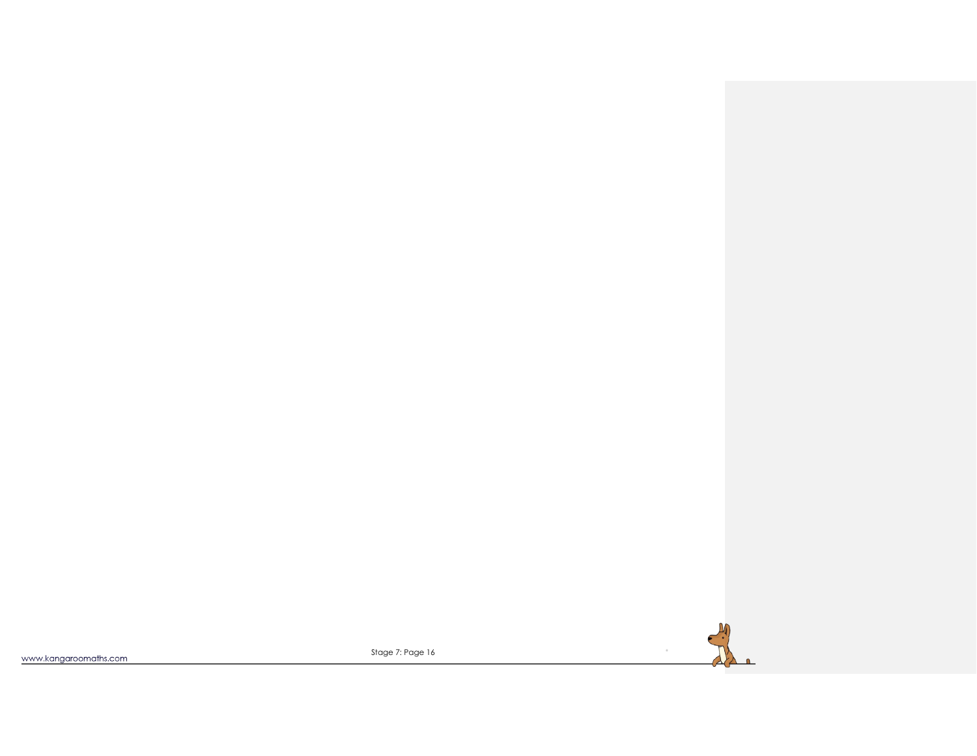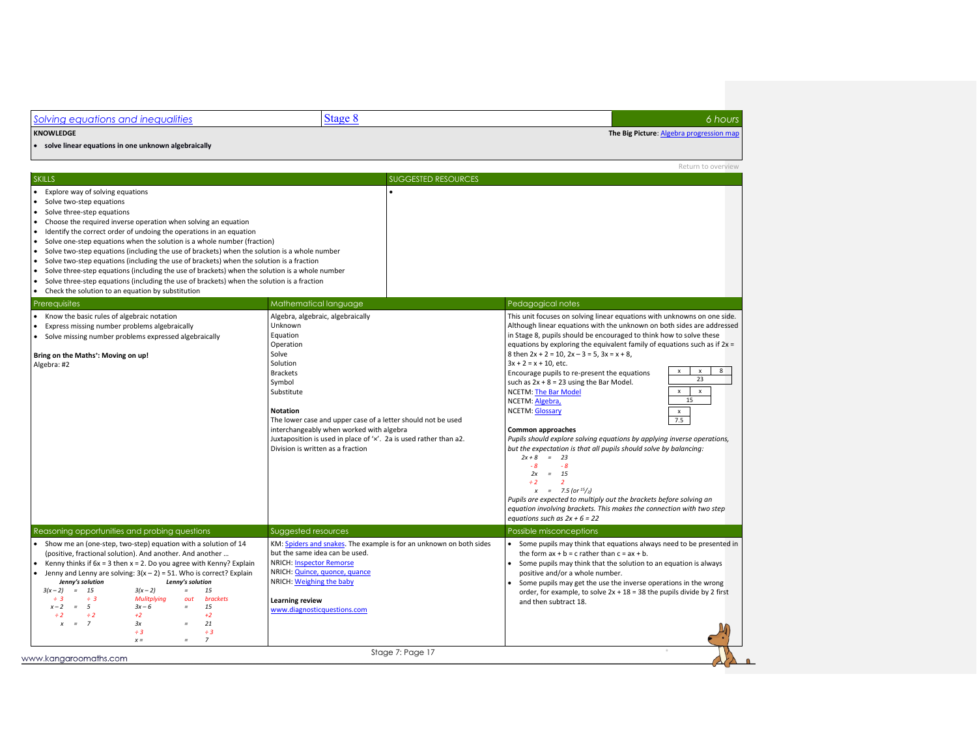<span id="page-16-0"></span>

| Solvina eauations and ineaualities                                                                                                                                                                                                                                                                                                                                                                                                                                                                                                                                                                                                                                                                                                                                                                                                                                                                                                                                                                                                                                                                   | Stage 8                                                                                                                                                                                                                                                                                                                                                                                                                        |                                                                                                                                                                                                  | 6 hours                                                                                                                                                                                                                                                                                                                                                                                                                                                                                                                                                                                                                                                                                                                                                                                                                                                                                                                                                                                                 |
|------------------------------------------------------------------------------------------------------------------------------------------------------------------------------------------------------------------------------------------------------------------------------------------------------------------------------------------------------------------------------------------------------------------------------------------------------------------------------------------------------------------------------------------------------------------------------------------------------------------------------------------------------------------------------------------------------------------------------------------------------------------------------------------------------------------------------------------------------------------------------------------------------------------------------------------------------------------------------------------------------------------------------------------------------------------------------------------------------|--------------------------------------------------------------------------------------------------------------------------------------------------------------------------------------------------------------------------------------------------------------------------------------------------------------------------------------------------------------------------------------------------------------------------------|--------------------------------------------------------------------------------------------------------------------------------------------------------------------------------------------------|---------------------------------------------------------------------------------------------------------------------------------------------------------------------------------------------------------------------------------------------------------------------------------------------------------------------------------------------------------------------------------------------------------------------------------------------------------------------------------------------------------------------------------------------------------------------------------------------------------------------------------------------------------------------------------------------------------------------------------------------------------------------------------------------------------------------------------------------------------------------------------------------------------------------------------------------------------------------------------------------------------|
| <b>KNOWLEDGE</b>                                                                                                                                                                                                                                                                                                                                                                                                                                                                                                                                                                                                                                                                                                                                                                                                                                                                                                                                                                                                                                                                                     |                                                                                                                                                                                                                                                                                                                                                                                                                                |                                                                                                                                                                                                  | The Big Picture: Algebra progression map                                                                                                                                                                                                                                                                                                                                                                                                                                                                                                                                                                                                                                                                                                                                                                                                                                                                                                                                                                |
| • solve linear equations in one unknown algebraically                                                                                                                                                                                                                                                                                                                                                                                                                                                                                                                                                                                                                                                                                                                                                                                                                                                                                                                                                                                                                                                |                                                                                                                                                                                                                                                                                                                                                                                                                                |                                                                                                                                                                                                  |                                                                                                                                                                                                                                                                                                                                                                                                                                                                                                                                                                                                                                                                                                                                                                                                                                                                                                                                                                                                         |
|                                                                                                                                                                                                                                                                                                                                                                                                                                                                                                                                                                                                                                                                                                                                                                                                                                                                                                                                                                                                                                                                                                      |                                                                                                                                                                                                                                                                                                                                                                                                                                |                                                                                                                                                                                                  | Return to overview                                                                                                                                                                                                                                                                                                                                                                                                                                                                                                                                                                                                                                                                                                                                                                                                                                                                                                                                                                                      |
| <b>SKILLS</b>                                                                                                                                                                                                                                                                                                                                                                                                                                                                                                                                                                                                                                                                                                                                                                                                                                                                                                                                                                                                                                                                                        |                                                                                                                                                                                                                                                                                                                                                                                                                                | <b>SUGGESTED RESOURCES</b>                                                                                                                                                                       |                                                                                                                                                                                                                                                                                                                                                                                                                                                                                                                                                                                                                                                                                                                                                                                                                                                                                                                                                                                                         |
| Explore way of solving equations<br>Solve two-step equations<br>Solve three-step equations<br>Choose the required inverse operation when solving an equation<br>$\bullet$<br>Identify the correct order of undoing the operations in an equation<br>Solve one-step equations when the solution is a whole number (fraction)<br>Solve two-step equations (including the use of brackets) when the solution is a whole number<br>$\bullet$<br>Solve two-step equations (including the use of brackets) when the solution is a fraction<br>Solve three-step equations (including the use of brackets) when the solution is a whole number<br>Solve three-step equations (including the use of brackets) when the solution is a fraction<br>Check the solution to an equation by substitution<br>Prerequisites<br>Know the basic rules of algebraic notation<br>$\bullet$<br>Express missing number problems algebraically<br>• Solve missing number problems expressed algebraically<br>Bring on the Maths <sup>+</sup> : Moving on up!<br>Algebra: #2<br>Reasoning opportunities and probing questions | Mathematical language<br>Algebra, algebraic, algebraically<br>Unknown<br>Equation<br>Operation<br>Solve<br>Solution<br><b>Brackets</b><br>Symbol<br>Substitute<br><b>Notation</b><br>The lower case and upper case of a letter should not be used<br>interchangeably when worked with algebra<br>Juxtaposition is used in place of 'x'. 2a is used rather than a2.<br>Division is written as a fraction<br>Suggested resources | Pedagogical notes<br>$3x + 2 = x + 10$ , etc.<br><b>NCETM: The Bar Model</b><br>NCETM: Algebra,<br><b>NCETM: Glossary</b><br>Common approaches<br>$2x + 8 = 23$<br>$-8$<br>$2x = 15$<br>$\div 2$ | This unit focuses on solving linear equations with unknowns on one side.<br>Although linear equations with the unknown on both sides are addressed<br>in Stage 8, pupils should be encouraged to think how to solve these<br>equations by exploring the equivalent family of equations such as if $2x =$<br>8 then $2x + 2 = 10$ , $2x - 3 = 5$ , $3x = x + 8$ ,<br>x<br>$\mathsf{x}$<br>Encourage pupils to re-present the equations<br>23<br>such as $2x + 8 = 23$ using the Bar Model.<br>$\overline{\mathbf{x}}$<br>$\mathsf{x}$<br>15<br>$\mathsf{x}$<br>7.5<br>Pupils should explore solving equations by applying inverse operations,<br>but the expectation is that all pupils should solve by balancing:<br>$-8$<br>$\overline{2}$<br>$x = 7.5$ (or <sup>15</sup> / <sub>2</sub> )<br>Pupils are expected to multiply out the brackets before solving an<br>equation involving brackets. This makes the connection with two step<br>equations such as $2x + 6 = 22$<br>Possible misconceptions |
| Show me an (one-step, two-step) equation with a solution of 14<br>(positive, fractional solution). And another. And another<br>Kenny thinks if $6x = 3$ then $x = 2$ . Do you agree with Kenny? Explain<br>Jenny and Lenny are solving: $3(x - 2) = 51$ . Who is correct? Explain<br>Jenny's solution<br>Lenny's solution<br>$3(x-2) = 15$<br>$3(x - 2)$<br>$\equiv$<br>15<br><b>Mulitplying</b><br>$\div$ 3<br>$\div$ 3<br>out<br><b>brackets</b><br>15<br>$x-2 = 5$<br>$5^{\circ}$<br>$3x - 6$<br>$\equiv$<br>$+2$<br>$\div 2$<br>$\div 2$<br>$+2$<br>$= 7$<br>3x<br>21<br>$\equiv$<br>$\boldsymbol{x}$                                                                                                                                                                                                                                                                                                                                                                                                                                                                                            | KM: Spiders and snakes. The example is for an unknown on both sides<br>but the same idea can be used.<br><b>NRICH: Inspector Remorse</b><br>NRICH: Quince, quonce, quance<br>NRICH: Weighing the baby<br><b>Learning review</b><br>www.diagnosticquestions.com                                                                                                                                                                 |                                                                                                                                                                                                  | Some pupils may think that equations always need to be presented in<br>the form $ax + b = c$ rather than $c = ax + b$ .<br>Some pupils may think that the solution to an equation is always<br>positive and/or a whole number.<br>Some pupils may get the use the inverse operations in the wrong<br>order, for example, to solve $2x + 18 = 38$ the pupils divide by 2 first<br>and then subtract 18.                                                                                                                                                                                                                                                                                                                                                                                                                                                                                                                                                                                                  |
| $\div$ 3<br>$\div$ 3<br>$\equiv$<br>$\overline{7}$<br>$x =$<br>www.kanaaroomaths.com                                                                                                                                                                                                                                                                                                                                                                                                                                                                                                                                                                                                                                                                                                                                                                                                                                                                                                                                                                                                                 | Stage 7: Page 17                                                                                                                                                                                                                                                                                                                                                                                                               |                                                                                                                                                                                                  |                                                                                                                                                                                                                                                                                                                                                                                                                                                                                                                                                                                                                                                                                                                                                                                                                                                                                                                                                                                                         |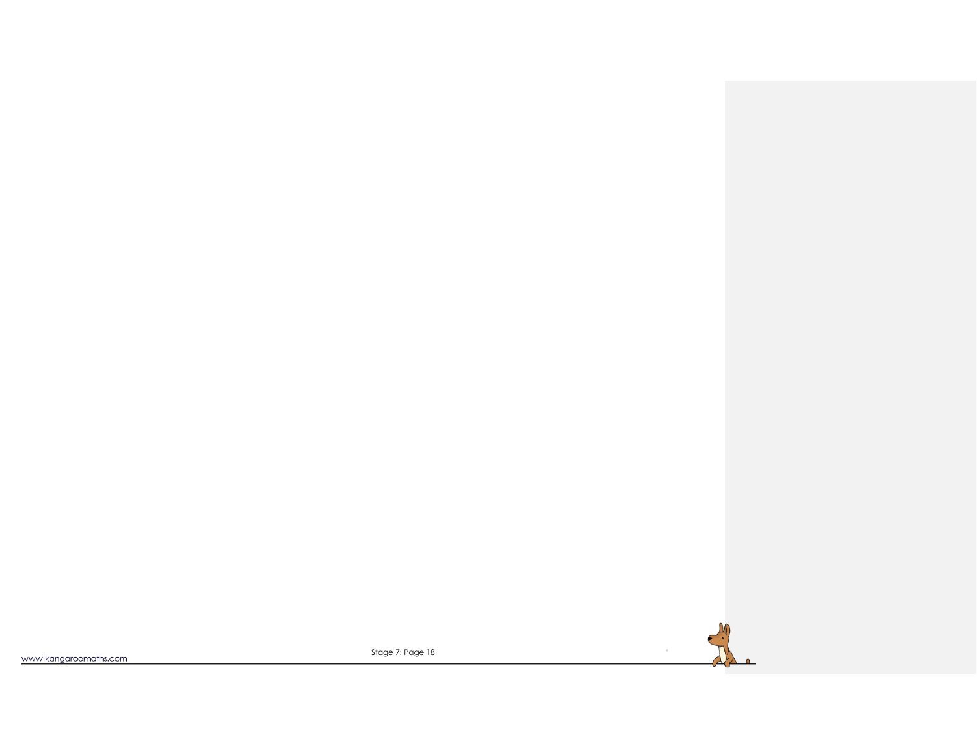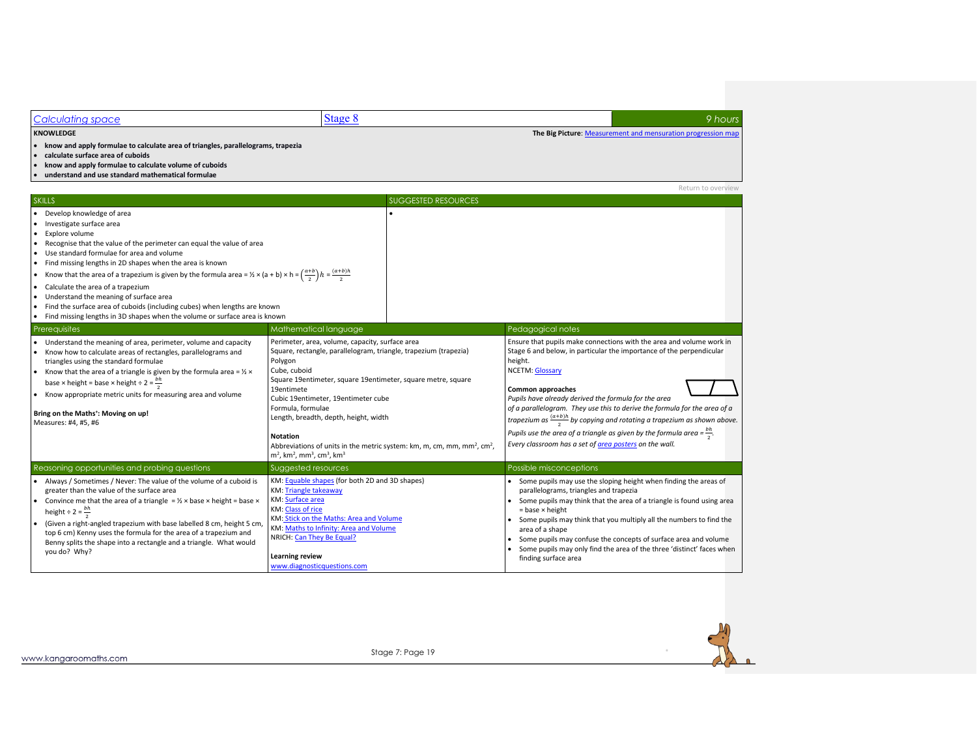<span id="page-18-0"></span>

| <b>Calculating space</b>                                                         | Stage $\delta$ | 9 hours                                                      |
|----------------------------------------------------------------------------------|----------------|--------------------------------------------------------------|
| <b>KNOWLEDGE</b>                                                                 |                | The Big Picture: Measurement and mensuration progression map |
| know and apply formulae to calculate area of triangles, parallelograms, trapezia |                |                                                              |
| calculate surface area of cuboids                                                |                |                                                              |

• **know and apply formulae to calculate volume of cuboids**

• **understand and use standard mathematical formulae**

Return to overview

| <b>SKILLS</b>                                                                                                                                                                                                                                                                                                                                                                                                                                                                                                                                                                                                                                                     | <b>SUGGESTED RESOURCES</b>                                                                                                                                                                                                                                                                                                                                                                                                                                                                                                              |                                                                                                                                                                                                                                                                                                                                                                                                                                                                                                                                                                                   |
|-------------------------------------------------------------------------------------------------------------------------------------------------------------------------------------------------------------------------------------------------------------------------------------------------------------------------------------------------------------------------------------------------------------------------------------------------------------------------------------------------------------------------------------------------------------------------------------------------------------------------------------------------------------------|-----------------------------------------------------------------------------------------------------------------------------------------------------------------------------------------------------------------------------------------------------------------------------------------------------------------------------------------------------------------------------------------------------------------------------------------------------------------------------------------------------------------------------------------|-----------------------------------------------------------------------------------------------------------------------------------------------------------------------------------------------------------------------------------------------------------------------------------------------------------------------------------------------------------------------------------------------------------------------------------------------------------------------------------------------------------------------------------------------------------------------------------|
| • Develop knowledge of area<br>Investigate surface area<br>Explore volume<br>Recognise that the value of the perimeter can equal the value of area<br>Use standard formulae for area and volume<br>Find missing lengths in 2D shapes when the area is known<br>Know that the area of a trapezium is given by the formula area = $\frac{1}{2} \times (a + b) \times h = \left(\frac{a+b}{2}\right) h = \frac{(a+b)h}{2}$<br>Calculate the area of a trapezium<br>Understand the meaning of surface area<br>Find the surface area of cuboids (including cubes) when lengths are known<br>Find missing lengths in 3D shapes when the volume or surface area is known |                                                                                                                                                                                                                                                                                                                                                                                                                                                                                                                                         |                                                                                                                                                                                                                                                                                                                                                                                                                                                                                                                                                                                   |
| Prerequisites                                                                                                                                                                                                                                                                                                                                                                                                                                                                                                                                                                                                                                                     | Mathematical language                                                                                                                                                                                                                                                                                                                                                                                                                                                                                                                   | Pedagogical notes                                                                                                                                                                                                                                                                                                                                                                                                                                                                                                                                                                 |
| • Understand the meaning of area, perimeter, volume and capacity<br>Know how to calculate areas of rectangles, parallelograms and<br>triangles using the standard formulae<br>• Know that the area of a triangle is given by the formula area = $\frac{1}{2} \times$<br>base × height = base × height ÷ 2 = $\frac{bh}{2}$<br>• Know appropriate metric units for measuring area and volume<br>Bring on the Maths <sup>+</sup> : Moving on up!<br>Measures: #4, #5, #6                                                                                                                                                                                            | Perimeter, area, volume, capacity, surface area<br>Square, rectangle, parallelogram, triangle, trapezium (trapezia)<br>Polygon<br>Cube, cuboid<br>Square 19entimeter, square 19entimeter, square metre, square<br>19entimete<br>Cubic 19entimeter, 19entimeter cube<br>Formula, formulae<br>Length, breadth, depth, height, width<br><b>Notation</b><br>Abbreviations of units in the metric system: km, m, cm, mm, mm <sup>2</sup> , cm <sup>2</sup> ,<br>$m2$ , km <sup>2</sup> , mm <sup>3</sup> , cm <sup>3</sup> , km <sup>3</sup> | Ensure that pupils make connections with the area and volume work in<br>Stage 6 and below, in particular the importance of the perpendicular<br>height.<br><b>NCETM: Glossary</b><br>Common approaches<br>Pupils have already derived the formula for the area<br>of a parallelogram. They use this to derive the formula for the area of a<br>trapezium as $\frac{(a+b)h}{2}$ by copying and rotating a trapezium as shown above.<br>Pupils use the area of a triangle as given by the formula area = $\frac{bh}{2}$ .<br>Every classroom has a set of area posters on the wall. |
| Reasoning opportunities and probing questions                                                                                                                                                                                                                                                                                                                                                                                                                                                                                                                                                                                                                     | Suggested resources                                                                                                                                                                                                                                                                                                                                                                                                                                                                                                                     | Possible misconceptions                                                                                                                                                                                                                                                                                                                                                                                                                                                                                                                                                           |
| • Always / Sometimes / Never: The value of the volume of a cuboid is<br>greater than the value of the surface area<br>• Convince me that the area of a triangle $=$ $\frac{1}{2} \times$ base $\times$ height = base $\times$<br>height ÷ 2 = $\frac{bn}{n}$<br>(Given a right-angled trapezium with base labelled 8 cm, height 5 cm,<br>top 6 cm) Kenny uses the formula for the area of a trapezium and<br>Benny splits the shape into a rectangle and a triangle. What would<br>you do? Why?                                                                                                                                                                   | KM: Equable shapes (for both 2D and 3D shapes)<br><b>KM: Triangle takeaway</b><br>KM: Surface area<br>KM: Class of rice<br>KM: Stick on the Maths: Area and Volume<br>KM: Maths to Infinity: Area and Volume<br>NRICH: Can They Be Equal?<br><b>Learning review</b><br>www.diagnosticquestions.com                                                                                                                                                                                                                                      | • Some pupils may use the sloping height when finding the areas of<br>parallelograms, triangles and trapezia<br>Some pupils may think that the area of a triangle is found using area<br>$=$ base $\times$ height<br>Some pupils may think that you multiply all the numbers to find the<br>area of a shape<br>Some pupils may confuse the concepts of surface area and volume<br>Some pupils may only find the area of the three 'distinct' faces when<br>finding surface area                                                                                                   |



www.kangaroomaths.com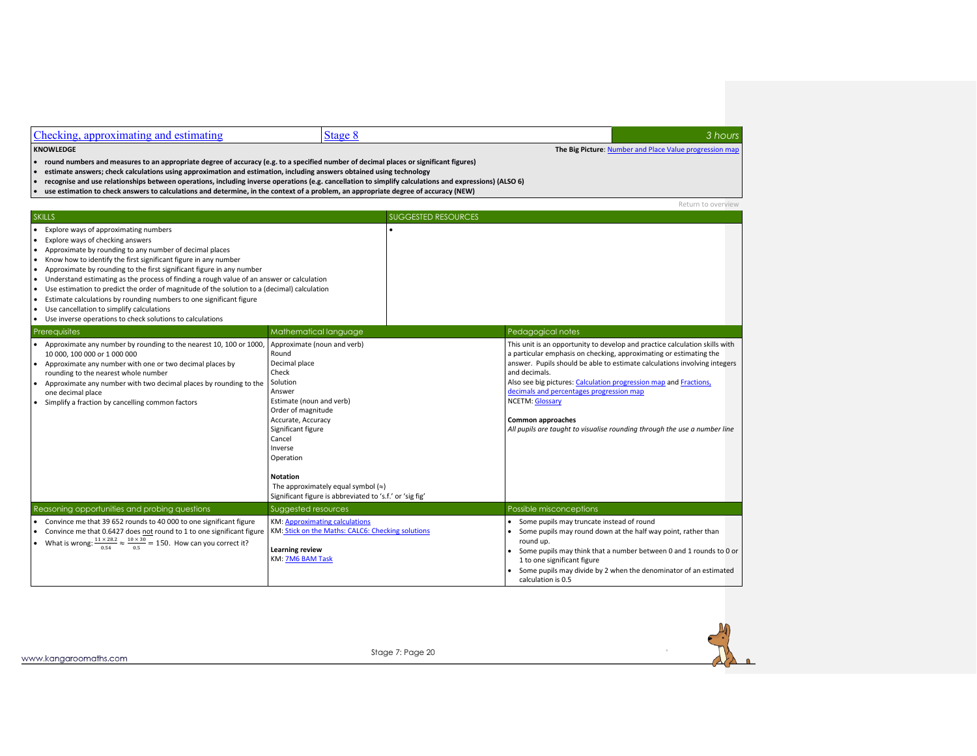| <b>KNOWLEDGE</b>                                        | The Big Picture: Number and Place Value progression map                                                                                                                                                                                                                                                                                                                                                                                                                                                                                                                                                                     |                                                                                                                                                                                                                                                                                                                                                   |                            |                                                                                                                                                                                                                                                                                                                                                                                                                                                                                       |
|---------------------------------------------------------|-----------------------------------------------------------------------------------------------------------------------------------------------------------------------------------------------------------------------------------------------------------------------------------------------------------------------------------------------------------------------------------------------------------------------------------------------------------------------------------------------------------------------------------------------------------------------------------------------------------------------------|---------------------------------------------------------------------------------------------------------------------------------------------------------------------------------------------------------------------------------------------------------------------------------------------------------------------------------------------------|----------------------------|---------------------------------------------------------------------------------------------------------------------------------------------------------------------------------------------------------------------------------------------------------------------------------------------------------------------------------------------------------------------------------------------------------------------------------------------------------------------------------------|
|                                                         | round numbers and measures to an appropriate degree of accuracy (e.g. to a specified number of decimal places or significant figures)<br>estimate answers; check calculations using approximation and estimation, including answers obtained using technology<br>recognise and use relationships between operations, including inverse operations (e.g. cancellation to simplify calculations and expressions) (ALSO 6)<br>use estimation to check answers to calculations and determine, in the context of a problem, an appropriate degree of accuracy (NEW)                                                              |                                                                                                                                                                                                                                                                                                                                                   |                            |                                                                                                                                                                                                                                                                                                                                                                                                                                                                                       |
|                                                         |                                                                                                                                                                                                                                                                                                                                                                                                                                                                                                                                                                                                                             |                                                                                                                                                                                                                                                                                                                                                   |                            | Return to overview                                                                                                                                                                                                                                                                                                                                                                                                                                                                    |
| <b>SKILLS</b>                                           |                                                                                                                                                                                                                                                                                                                                                                                                                                                                                                                                                                                                                             |                                                                                                                                                                                                                                                                                                                                                   | <b>SUGGESTED RESOURCES</b> |                                                                                                                                                                                                                                                                                                                                                                                                                                                                                       |
| Explore ways of checking answers<br>٠<br>٠<br>$\bullet$ | • Explore ways of approximating numbers<br>Approximate by rounding to any number of decimal places<br>Know how to identify the first significant figure in any number<br>Approximate by rounding to the first significant figure in any number<br>Understand estimating as the process of finding a rough value of an answer or calculation<br>Use estimation to predict the order of magnitude of the solution to a (decimal) calculation<br>Estimate calculations by rounding numbers to one significant figure<br>Use cancellation to simplify calculations<br>Use inverse operations to check solutions to calculations |                                                                                                                                                                                                                                                                                                                                                   |                            |                                                                                                                                                                                                                                                                                                                                                                                                                                                                                       |
| Prerequisites                                           |                                                                                                                                                                                                                                                                                                                                                                                                                                                                                                                                                                                                                             | Mathematical language                                                                                                                                                                                                                                                                                                                             |                            | Pedagogical notes                                                                                                                                                                                                                                                                                                                                                                                                                                                                     |
| 10 000, 100 000 or 1 000 000<br>one decimal place       | • Approximate any number by rounding to the nearest 10, 100 or 1000,<br>• Approximate any number with one or two decimal places by<br>rounding to the nearest whole number<br>Approximate any number with two decimal places by rounding to the<br>• Simplify a fraction by cancelling common factors                                                                                                                                                                                                                                                                                                                       | Approximate (noun and verb)<br>Round<br>Decimal place<br>Check<br>Solution<br>Answer<br>Estimate (noun and verb)<br>Order of magnitude<br>Accurate, Accuracy<br>Significant figure<br>Cancel<br>Inverse<br>Operation<br><b>Notation</b><br>The approximately equal symbol $(\approx)$<br>Significant figure is abbreviated to 's.f.' or 'sig fig' |                            | This unit is an opportunity to develop and practice calculation skills with<br>a particular emphasis on checking, approximating or estimating the<br>answer. Pupils should be able to estimate calculations involving integers<br>and decimals.<br>Also see big pictures: Calculation progression map and Fractions,<br>decimals and percentages progression map<br>NCETM: Glossary<br>Common approaches<br>All pupils are taught to visualise rounding through the use a number line |
|                                                         | Reasoning opportunities and probing questions                                                                                                                                                                                                                                                                                                                                                                                                                                                                                                                                                                               | Suggested resources                                                                                                                                                                                                                                                                                                                               |                            | Possible misconceptions                                                                                                                                                                                                                                                                                                                                                                                                                                                               |
|                                                         | Convince me that 39 652 rounds to 40 000 to one significant figure<br>• Convince me that 0.6427 does not round to 1 to one significant figure<br>• What is wrong: $\frac{11 \times 28.2}{0.54} \approx \frac{10 \times 30}{0.5} = 150$ . How can you correct it?                                                                                                                                                                                                                                                                                                                                                            | <b>KM: Approximating calculations</b><br>KM: Stick on the Maths: CALC6: Checking solutions<br><b>Learning review</b><br>KM: 7M6 BAM Task                                                                                                                                                                                                          |                            | Some pupils may truncate instead of round<br>$\bullet$<br>Some pupils may round down at the half way point, rather than<br>$\bullet$<br>round up.<br>Some pupils may think that a number between 0 and 1 rounds to 0 or<br>1 to one significant figure<br>• Some pupils may divide by 2 when the denominator of an estimated<br>calculation is 0.5                                                                                                                                    |

<span id="page-19-0"></span>**Checking, approximating and estimating [Stage 8](file://sweep/teacher$/maths/Teaching%20Plans%20(Linked)/2017%2018%20Teaching%20Plans%20and%20SOW/Schemes%20Of%20Work/KS3%20Stages/St8_sow.docx)** 3*hours* 

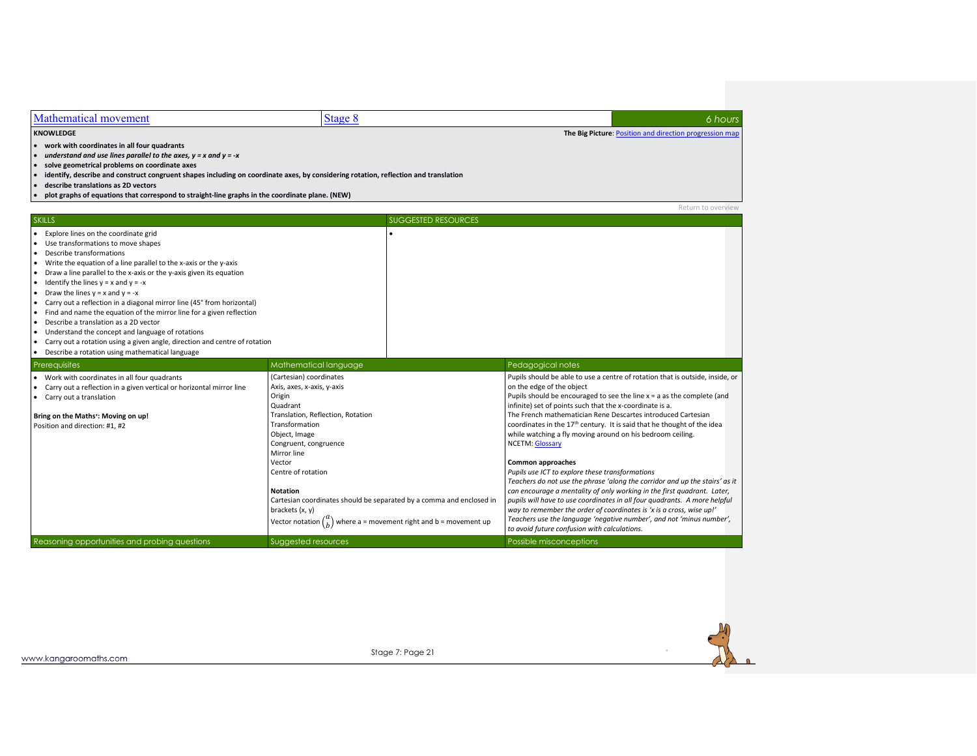<span id="page-20-0"></span>

| Mathematical movement                                                                                                                     | Stage 8 | 6 hours                                                 |  |  |
|-------------------------------------------------------------------------------------------------------------------------------------------|---------|---------------------------------------------------------|--|--|
| <b>KNOWLEDGE</b>                                                                                                                          |         | The Big Picture: Position and direction progression map |  |  |
| work with coordinates in all four quadrants                                                                                               |         |                                                         |  |  |
| understand and use lines parallel to the axes, $y = x$ and $y = -x$                                                                       |         |                                                         |  |  |
| solve geometrical problems on coordinate axes                                                                                             |         |                                                         |  |  |
| identify, describe and construct congruent shapes including on coordinate axes, by considering rotation, reflection and translation<br>۰. |         |                                                         |  |  |
| describe translations as 2D vectors                                                                                                       |         |                                                         |  |  |
| the contract of the contract of the contract of the contract of the contract of the contract of the contract of                           |         |                                                         |  |  |

• **plot graphs of equations that correspond to straight-line graphs in the coordinate plane. (NEW)**

Return to overview

|                                                                                                                                                                                                                                                                                                                                                                                                                                                                                                                                                                                                                                                                                                                        | <b>SKILLS</b>                                                                                                                                                                                                                           |                                                                                                                                                                                                                                                                                                                                                                                                                          | <b>SUGGESTED RESOURCES</b> |                                                                                                                                                                                                                                                                                                                                                                                                                                                                                                                                                                                                                                                                                                                                                                                                                                                                                                                                                                                                           |  |
|------------------------------------------------------------------------------------------------------------------------------------------------------------------------------------------------------------------------------------------------------------------------------------------------------------------------------------------------------------------------------------------------------------------------------------------------------------------------------------------------------------------------------------------------------------------------------------------------------------------------------------------------------------------------------------------------------------------------|-----------------------------------------------------------------------------------------------------------------------------------------------------------------------------------------------------------------------------------------|--------------------------------------------------------------------------------------------------------------------------------------------------------------------------------------------------------------------------------------------------------------------------------------------------------------------------------------------------------------------------------------------------------------------------|----------------------------|-----------------------------------------------------------------------------------------------------------------------------------------------------------------------------------------------------------------------------------------------------------------------------------------------------------------------------------------------------------------------------------------------------------------------------------------------------------------------------------------------------------------------------------------------------------------------------------------------------------------------------------------------------------------------------------------------------------------------------------------------------------------------------------------------------------------------------------------------------------------------------------------------------------------------------------------------------------------------------------------------------------|--|
| • Explore lines on the coordinate grid<br>Use transformations to move shapes<br>Describe transformations<br>Write the equation of a line parallel to the x-axis or the y-axis<br>Draw a line parallel to the x-axis or the y-axis given its equation<br>Identify the lines $y = x$ and $y = -x$<br>Draw the lines $y = x$ and $y = -x$<br>Carry out a reflection in a diagonal mirror line (45° from horizontal)<br>Find and name the equation of the mirror line for a given reflection<br>Describe a translation as a 2D vector<br>Understand the concept and language of rotations<br>Carry out a rotation using a given angle, direction and centre of rotation<br>Describe a rotation using mathematical language |                                                                                                                                                                                                                                         |                                                                                                                                                                                                                                                                                                                                                                                                                          |                            |                                                                                                                                                                                                                                                                                                                                                                                                                                                                                                                                                                                                                                                                                                                                                                                                                                                                                                                                                                                                           |  |
|                                                                                                                                                                                                                                                                                                                                                                                                                                                                                                                                                                                                                                                                                                                        | Prerequisites                                                                                                                                                                                                                           | Mathematical language                                                                                                                                                                                                                                                                                                                                                                                                    |                            | Pedagogical notes                                                                                                                                                                                                                                                                                                                                                                                                                                                                                                                                                                                                                                                                                                                                                                                                                                                                                                                                                                                         |  |
|                                                                                                                                                                                                                                                                                                                                                                                                                                                                                                                                                                                                                                                                                                                        | • Work with coordinates in all four quadrants<br>Carry out a reflection in a given vertical or horizontal mirror line<br>• Carry out a translation<br>Bring on the Maths <sup>+</sup> : Moving on up!<br>Position and direction: #1, #2 | (Cartesian) coordinates<br>Axis, axes, x-axis, y-axis<br>Origin<br>Quadrant<br>Translation, Reflection, Rotation<br>Transformation<br>Object, Image<br>Congruent, congruence<br>Mirror line<br>Vector<br>Centre of rotation<br><b>Notation</b><br>Cartesian coordinates should be separated by a comma and enclosed in<br>brackets (x, y)<br>Vector notation $\binom{u}{h}$ where a = movement right and b = movement up |                            | Pupils should be able to use a centre of rotation that is outside, inside, or<br>on the edge of the object<br>Pupils should be encouraged to see the line $x = a$ as the complete (and<br>infinite) set of points such that the x-coordinate is a.<br>The French mathematician Rene Descartes introduced Cartesian<br>coordinates in the 17 <sup>th</sup> century. It is said that he thought of the idea<br>while watching a fly moving around on his bedroom ceiling.<br>NCETM: Glossary<br>Common approaches<br>Pupils use ICT to explore these transformations<br>Teachers do not use the phrase 'along the corridor and up the stairs' as it<br>can encourage a mentality of only working in the first quadrant. Later,<br>pupils will have to use coordinates in all four quadrants. A more helpful<br>way to remember the order of coordinates is 'x is a cross, wise up!'<br>Teachers use the language 'negative number', and not 'minus number',<br>to avoid future confusion with calculations. |  |
|                                                                                                                                                                                                                                                                                                                                                                                                                                                                                                                                                                                                                                                                                                                        | Reasoning opportunities and probing questions                                                                                                                                                                                           | Suggested resources                                                                                                                                                                                                                                                                                                                                                                                                      |                            | Possible misconceptions                                                                                                                                                                                                                                                                                                                                                                                                                                                                                                                                                                                                                                                                                                                                                                                                                                                                                                                                                                                   |  |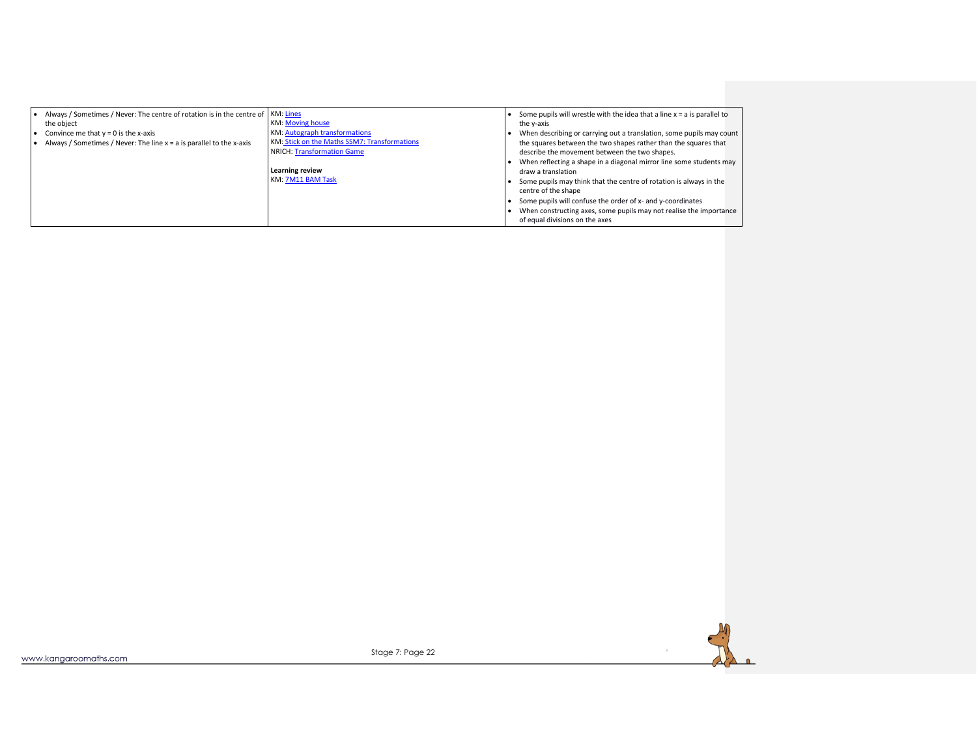| Always / Sometimes / Never: The centre of rotation is in the centre of KM: Lines<br>the object | <b>KM: Moving house</b>                      | Some pupils will wrestle with the idea that a line $x = a$ is parallel to<br>the y-axis   |
|------------------------------------------------------------------------------------------------|----------------------------------------------|-------------------------------------------------------------------------------------------|
|                                                                                                | <b>KM: Autograph transformations</b>         |                                                                                           |
| Convince me that $y = 0$ is the x-axis                                                         |                                              | When describing or carrying out a translation, some pupils may count                      |
| Always / Sometimes / Never: The line $x = a$ is parallel to the x-axis                         | KM: Stick on the Maths SSM7: Transformations | the squares between the two shapes rather than the squares that                           |
|                                                                                                | <b>NRICH: Transformation Game</b>            | describe the movement between the two shapes.                                             |
|                                                                                                |                                              | When reflecting a shape in a diagonal mirror line some students may                       |
|                                                                                                | <b>Learning review</b>                       | draw a translation                                                                        |
|                                                                                                | KM: 7M11 BAM Task                            | Some pupils may think that the centre of rotation is always in the<br>centre of the shape |
|                                                                                                |                                              | Some pupils will confuse the order of x- and y-coordinates                                |
|                                                                                                |                                              | When constructing axes, some pupils may not realise the importance                        |
|                                                                                                |                                              | of equal divisions on the axes                                                            |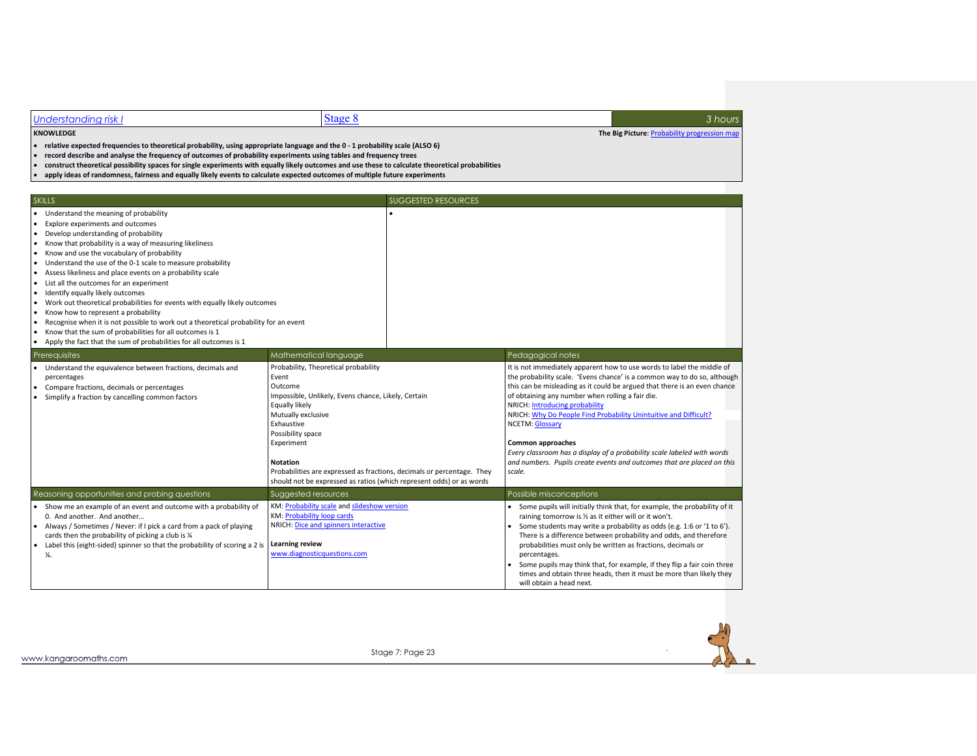<span id="page-22-0"></span>

| 11n<br>16 TE     | ำfaσ∈ |                  |
|------------------|-------|------------------|
| <b>KNOWLEDGE</b> |       | The Big Picture: |

• **relative expected frequencies to theoretical probability, using appropriate language and the 0 - 1 probability scale (ALSO 6)**

• **record describe and analyse the frequency of outcomes of probability experiments using tables and frequency trees**

• **construct theoretical possibility spaces for single experiments with equally likely outcomes and use these to calculate theoretical probabilities**

• **apply ideas of randomness, fairness and equally likely events to calculate expected outcomes of multiple future experiments**

| <b>SKILLS</b>                                                                                                                                                                                                                                                                                                                                                                                                                                                                                                                                                                                                                                                                                                                                                                                                                                                                                                                                  |                                                                                                                                                                                                                                                                                                                                                                                                        | <b>SUGGESTED RESOURCES</b> |                                                                                                                                                                                                                                                                                                                                                                                                                                                                                                                                                                                                                                     |
|------------------------------------------------------------------------------------------------------------------------------------------------------------------------------------------------------------------------------------------------------------------------------------------------------------------------------------------------------------------------------------------------------------------------------------------------------------------------------------------------------------------------------------------------------------------------------------------------------------------------------------------------------------------------------------------------------------------------------------------------------------------------------------------------------------------------------------------------------------------------------------------------------------------------------------------------|--------------------------------------------------------------------------------------------------------------------------------------------------------------------------------------------------------------------------------------------------------------------------------------------------------------------------------------------------------------------------------------------------------|----------------------------|-------------------------------------------------------------------------------------------------------------------------------------------------------------------------------------------------------------------------------------------------------------------------------------------------------------------------------------------------------------------------------------------------------------------------------------------------------------------------------------------------------------------------------------------------------------------------------------------------------------------------------------|
| Understand the meaning of probability<br>Explore experiments and outcomes<br>$\bullet$<br>Develop understanding of probability<br>$\bullet$<br>Know that probability is a way of measuring likeliness<br>$\bullet$<br>Know and use the vocabulary of probability<br>$\bullet$<br>Understand the use of the 0-1 scale to measure probability<br>$\bullet$<br>Assess likeliness and place events on a probability scale<br>$\bullet$<br>List all the outcomes for an experiment<br>$\bullet$<br>Identify equally likely outcomes<br>$\bullet$<br>Work out theoretical probabilities for events with equally likely outcomes<br>Know how to represent a probability<br>$\bullet$<br>Recognise when it is not possible to work out a theoretical probability for an event<br>$\bullet$<br>Know that the sum of probabilities for all outcomes is 1<br>$\bullet$<br>Apply the fact that the sum of probabilities for all outcomes is 1<br>$\bullet$ |                                                                                                                                                                                                                                                                                                                                                                                                        |                            |                                                                                                                                                                                                                                                                                                                                                                                                                                                                                                                                                                                                                                     |
| Prerequisites<br>• Understand the equivalence between fractions, decimals and<br>percentages<br>Compare fractions, decimals or percentages<br>Simplify a fraction by cancelling common factors                                                                                                                                                                                                                                                                                                                                                                                                                                                                                                                                                                                                                                                                                                                                                 | Mathematical language<br>Probability, Theoretical probability<br>Event<br>Outcome<br>Impossible, Unlikely, Evens chance, Likely, Certain<br>Equally likely<br>Mutually exclusive<br>Exhaustive<br>Possibility space<br>Experiment<br><b>Notation</b><br>Probabilities are expressed as fractions, decimals or percentage. They<br>should not be expressed as ratios (which represent odds) or as words |                            | Pedagogical notes<br>It is not immediately apparent how to use words to label the middle of<br>the probability scale. 'Evens chance' is a common way to do so, although<br>this can be misleading as it could be argued that there is an even chance<br>of obtaining any number when rolling a fair die.<br>NRICH: Introducing probability<br>NRICH: Why Do People Find Probability Unintuitive and Difficult?<br><b>NCETM: Glossary</b><br><b>Common approaches</b><br>Every classroom has a display of a probability scale labeled with words<br>and numbers. Pupils create events and outcomes that are placed on this<br>scale. |
| Reasoning opportunities and probing questions<br>• Show me an example of an event and outcome with a probability of<br>0. And another. And another<br>Always / Sometimes / Never: if I pick a card from a pack of playing<br>$\bullet$<br>cards then the probability of picking a club is 1/4<br>Label this (eight-sided) spinner so that the probability of scoring a 2 is<br>1⁄4.                                                                                                                                                                                                                                                                                                                                                                                                                                                                                                                                                            | Suggested resources<br>KM: Probability scale and slideshow version<br><b>KM: Probability loop cards</b><br>NRICH: Dice and spinners interactive<br><b>Learning review</b><br>www.diagnosticquestions.com                                                                                                                                                                                               |                            | Possible misconceptions<br>• Some pupils will initially think that, for example, the probability of it<br>raining tomorrow is 1/2 as it either will or it won't.<br>Some students may write a probability as odds (e.g. 1:6 or '1 to 6').<br>$\bullet$<br>There is a difference between probability and odds, and therefore<br>probabilities must only be written as fractions, decimals or<br>percentages.<br>Some pupils may think that, for example, if they flip a fair coin three<br>times and obtain three heads, then it must be more than likely they<br>will obtain a head next.                                           |

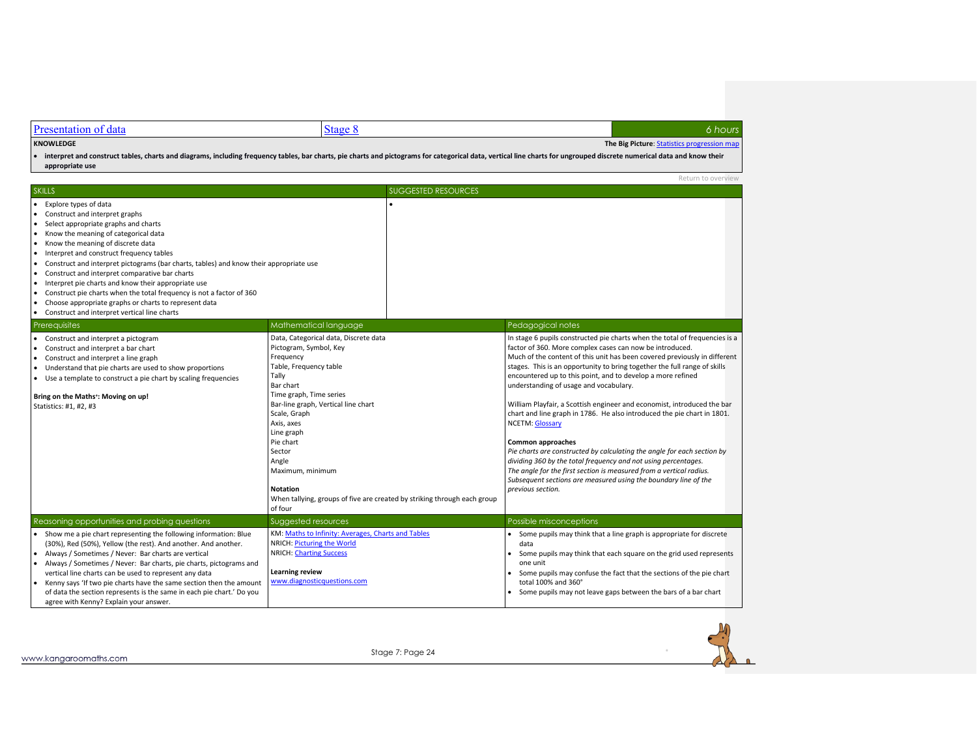<span id="page-23-0"></span>

| Presentation of data                                                                                                                                                                                                                                                                                                                                                                                                                                                                                                    | Stage 8                                                                                                                                                                                                                                                                                                                                                                                                  | 6 hours                                                                                                                                                                                                                                                                                                                                                                                                                                                                                                                                                                                                                                                                                                                                                                                                                               |
|-------------------------------------------------------------------------------------------------------------------------------------------------------------------------------------------------------------------------------------------------------------------------------------------------------------------------------------------------------------------------------------------------------------------------------------------------------------------------------------------------------------------------|----------------------------------------------------------------------------------------------------------------------------------------------------------------------------------------------------------------------------------------------------------------------------------------------------------------------------------------------------------------------------------------------------------|---------------------------------------------------------------------------------------------------------------------------------------------------------------------------------------------------------------------------------------------------------------------------------------------------------------------------------------------------------------------------------------------------------------------------------------------------------------------------------------------------------------------------------------------------------------------------------------------------------------------------------------------------------------------------------------------------------------------------------------------------------------------------------------------------------------------------------------|
| <b>KNOWLEDGE</b>                                                                                                                                                                                                                                                                                                                                                                                                                                                                                                        |                                                                                                                                                                                                                                                                                                                                                                                                          | The Big Picture: Statistics progression map                                                                                                                                                                                                                                                                                                                                                                                                                                                                                                                                                                                                                                                                                                                                                                                           |
|                                                                                                                                                                                                                                                                                                                                                                                                                                                                                                                         | • interpret and construct tables, charts and diagrams, including frequency tables, bar charts, pie charts and pictograms for categorical data, vertical line charts for ungrouped discrete numerical data and know their                                                                                                                                                                                 |                                                                                                                                                                                                                                                                                                                                                                                                                                                                                                                                                                                                                                                                                                                                                                                                                                       |
| appropriate use                                                                                                                                                                                                                                                                                                                                                                                                                                                                                                         |                                                                                                                                                                                                                                                                                                                                                                                                          |                                                                                                                                                                                                                                                                                                                                                                                                                                                                                                                                                                                                                                                                                                                                                                                                                                       |
|                                                                                                                                                                                                                                                                                                                                                                                                                                                                                                                         |                                                                                                                                                                                                                                                                                                                                                                                                          | Return to overview                                                                                                                                                                                                                                                                                                                                                                                                                                                                                                                                                                                                                                                                                                                                                                                                                    |
| <b>SKILLS</b>                                                                                                                                                                                                                                                                                                                                                                                                                                                                                                           | <b>SUGGESTED RESOURCES</b>                                                                                                                                                                                                                                                                                                                                                                               |                                                                                                                                                                                                                                                                                                                                                                                                                                                                                                                                                                                                                                                                                                                                                                                                                                       |
| Explore types of data<br>Construct and interpret graphs<br>Select appropriate graphs and charts<br>Know the meaning of categorical data<br>Know the meaning of discrete data<br>$\bullet$<br>Interpret and construct frequency tables<br>Construct and interpret pictograms (bar charts, tables) and know their appropriate use<br>٠<br>Construct and interpret comparative bar charts<br>Interpret pie charts and know their appropriate use<br>$\bullet$                                                              |                                                                                                                                                                                                                                                                                                                                                                                                          |                                                                                                                                                                                                                                                                                                                                                                                                                                                                                                                                                                                                                                                                                                                                                                                                                                       |
| Construct pie charts when the total frequency is not a factor of 360                                                                                                                                                                                                                                                                                                                                                                                                                                                    |                                                                                                                                                                                                                                                                                                                                                                                                          |                                                                                                                                                                                                                                                                                                                                                                                                                                                                                                                                                                                                                                                                                                                                                                                                                                       |
| Choose appropriate graphs or charts to represent data<br>$\bullet$<br>Construct and interpret vertical line charts                                                                                                                                                                                                                                                                                                                                                                                                      |                                                                                                                                                                                                                                                                                                                                                                                                          |                                                                                                                                                                                                                                                                                                                                                                                                                                                                                                                                                                                                                                                                                                                                                                                                                                       |
|                                                                                                                                                                                                                                                                                                                                                                                                                                                                                                                         |                                                                                                                                                                                                                                                                                                                                                                                                          |                                                                                                                                                                                                                                                                                                                                                                                                                                                                                                                                                                                                                                                                                                                                                                                                                                       |
| <b>Prerequisites</b>                                                                                                                                                                                                                                                                                                                                                                                                                                                                                                    | Mathematical language                                                                                                                                                                                                                                                                                                                                                                                    | Pedagogical notes<br>In stage 6 pupils constructed pie charts when the total of frequencies is a                                                                                                                                                                                                                                                                                                                                                                                                                                                                                                                                                                                                                                                                                                                                      |
| Construct and interpret a pictogram<br>Construct and interpret a bar chart<br>٠<br>Construct and interpret a line graph<br>Understand that pie charts are used to show proportions<br>$\bullet$<br>• Use a template to construct a pie chart by scaling frequencies<br>Bring on the Maths <sup>+</sup> : Moving on up!<br>Statistics: #1, #2, #3                                                                                                                                                                        | Data, Categorical data, Discrete data<br>Pictogram, Symbol, Key<br>Frequency<br>Table, Frequency table<br>Tally<br>Bar chart<br>Time graph, Time series<br>Bar-line graph, Vertical line chart<br>Scale, Graph<br>Axis, axes<br>Line graph<br>Pie chart<br>Sector<br>Angle<br>Maximum, minimum<br><b>Notation</b><br>When tallying, groups of five are created by striking through each group<br>of four | factor of 360. More complex cases can now be introduced.<br>Much of the content of this unit has been covered previously in different<br>stages. This is an opportunity to bring together the full range of skills<br>encountered up to this point, and to develop a more refined<br>understanding of usage and vocabulary.<br>William Playfair, a Scottish engineer and economist, introduced the bar<br>chart and line graph in 1786. He also introduced the pie chart in 1801.<br>NCETM: Glossary<br>Common approaches<br>Pie charts are constructed by calculating the angle for each section by<br>dividing 360 by the total frequency and not using percentages.<br>The angle for the first section is measured from a vertical radius.<br>Subsequent sections are measured using the boundary line of the<br>previous section. |
| Reasoning opportunities and probing questions                                                                                                                                                                                                                                                                                                                                                                                                                                                                           | Suggested resources                                                                                                                                                                                                                                                                                                                                                                                      | Possible misconceptions                                                                                                                                                                                                                                                                                                                                                                                                                                                                                                                                                                                                                                                                                                                                                                                                               |
| Show me a pie chart representing the following information: Blue<br>(30%), Red (50%), Yellow (the rest). And another. And another.<br>• Always / Sometimes / Never: Bar charts are vertical<br>• Always / Sometimes / Never: Bar charts, pie charts, pictograms and<br>vertical line charts can be used to represent any data<br>Kenny says 'If two pie charts have the same section then the amount<br>of data the section represents is the same in each pie chart.' Do you<br>agree with Kenny? Explain your answer. | KM: Maths to Infinity: Averages, Charts and Tables<br>NRICH: Picturing the World<br><b>NRICH: Charting Success</b><br><b>Learning review</b><br>www.diagnosticquestions.com                                                                                                                                                                                                                              | • Some pupils may think that a line graph is appropriate for discrete<br>data<br>Some pupils may think that each square on the grid used represents<br>one unit<br>Some pupils may confuse the fact that the sections of the pie chart<br>total 100% and 360°<br>• Some pupils may not leave gaps between the bars of a bar chart                                                                                                                                                                                                                                                                                                                                                                                                                                                                                                     |